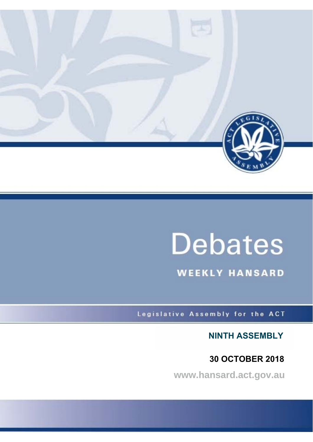

# **Debates**

**WEEKLY HANSARD** 

Legislative Assembly for the ACT

**NINTH ASSEMBLY**

 **30 OCTOBER 2018**

**www.hansard.act.gov.au**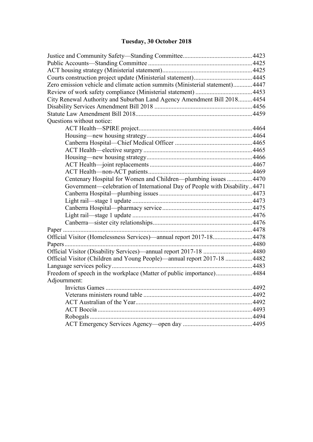# **[Tuesday, 30 October 2018](#page-2-0)**

| Zero emission vehicle and climate action summits (Ministerial statement) 4447 |  |
|-------------------------------------------------------------------------------|--|
|                                                                               |  |
| City Renewal Authority and Suburban Land Agency Amendment Bill 2018 4454      |  |
|                                                                               |  |
|                                                                               |  |
| Questions without notice:                                                     |  |
|                                                                               |  |
|                                                                               |  |
|                                                                               |  |
|                                                                               |  |
|                                                                               |  |
|                                                                               |  |
|                                                                               |  |
| Centenary Hospital for Women and Children---plumbing issues  4470             |  |
| Government—celebration of International Day of People with Disability4471     |  |
|                                                                               |  |
|                                                                               |  |
|                                                                               |  |
|                                                                               |  |
|                                                                               |  |
|                                                                               |  |
| Official Visitor (Homelessness Services)—annual report 2017-18 4478           |  |
|                                                                               |  |
|                                                                               |  |
| Official Visitor (Children and Young People)—annual report 2017-18  4482      |  |
|                                                                               |  |
| Freedom of speech in the workplace (Matter of public importance) 4484         |  |
| Adjournment:                                                                  |  |
|                                                                               |  |
|                                                                               |  |
|                                                                               |  |
|                                                                               |  |
|                                                                               |  |
|                                                                               |  |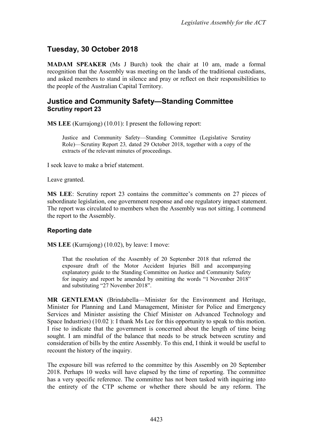## <span id="page-2-0"></span>**Tuesday, 30 October 2018**

**MADAM SPEAKER** (Ms J Burch) took the chair at 10 am, made a formal recognition that the Assembly was meeting on the lands of the traditional custodians, and asked members to stand in silence and pray or reflect on their responsibilities to the people of the Australian Capital Territory.

### <span id="page-2-1"></span>**Justice and Community Safety—Standing Committee Scrutiny report 23**

**MS LEE** (Kurrajong) (10.01): I present the following report:

Justice and Community Safety—Standing Committee (Legislative Scrutiny Role)—Scrutiny Report 23*,* dated 29 October 2018, together with a copy of the extracts of the relevant minutes of proceedings.

I seek leave to make a brief statement.

Leave granted.

**MS LEE**: Scrutiny report 23 contains the committee's comments on 27 pieces of subordinate legislation, one government response and one regulatory impact statement. The report was circulated to members when the Assembly was not sitting. I commend the report to the Assembly.

#### **Reporting date**

**MS LEE** (Kurrajong) (10.02), by leave: I move:

That the resolution of the Assembly of 20 September 2018 that referred the exposure draft of the Motor Accident Injuries Bill and accompanying explanatory guide to the Standing Committee on Justice and Community Safety for inquiry and report be amended by omitting the words "1 November 2018" and substituting "27 November 2018".

**MR GENTLEMAN** (Brindabella—Minister for the Environment and Heritage, Minister for Planning and Land Management, Minister for Police and Emergency Services and Minister assisting the Chief Minister on Advanced Technology and Space Industries) (10.02 ): I thank Ms Lee for this opportunity to speak to this motion. I rise to indicate that the government is concerned about the length of time being sought. I am mindful of the balance that needs to be struck between scrutiny and consideration of bills by the entire Assembly. To this end, I think it would be useful to recount the history of the inquiry.

The exposure bill was referred to the committee by this Assembly on 20 September 2018. Perhaps 10 weeks will have elapsed by the time of reporting. The committee has a very specific reference. The committee has not been tasked with inquiring into the entirety of the CTP scheme or whether there should be any reform. The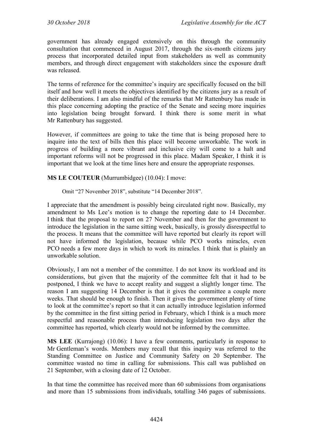government has already engaged extensively on this through the community consultation that commenced in August 2017, through the six-month citizens jury process that incorporated detailed input from stakeholders as well as community members, and through direct engagement with stakeholders since the exposure draft was released.

The terms of reference for the committee's inquiry are specifically focused on the bill itself and how well it meets the objectives identified by the citizens jury as a result of their deliberations. I am also mindful of the remarks that Mr Rattenbury has made in this place concerning adopting the practice of the Senate and seeing more inquiries into legislation being brought forward. I think there is some merit in what Mr Rattenbury has suggested.

However, if committees are going to take the time that is being proposed here to inquire into the text of bills then this place will become unworkable. The work in progress of building a more vibrant and inclusive city will come to a halt and important reforms will not be progressed in this place. Madam Speaker, I think it is important that we look at the time lines here and ensure the appropriate responses.

#### **MS LE COUTEUR** (Murrumbidgee) (10.04): I move:

Omit "27 November 2018", substitute "14 December 2018".

I appreciate that the amendment is possibly being circulated right now. Basically, my amendment to Ms Lee's motion is to change the reporting date to 14 December. I think that the proposal to report on 27 November and then for the government to introduce the legislation in the same sitting week, basically, is grossly disrespectful to the process. It means that the committee will have reported but clearly its report will not have informed the legislation, because while PCO works miracles, even PCO needs a few more days in which to work its miracles. I think that is plainly an unworkable solution.

Obviously, I am not a member of the committee. I do not know its workload and its considerations, but given that the majority of the committee felt that it had to be postponed, I think we have to accept reality and suggest a slightly longer time. The reason I am suggesting 14 December is that it gives the committee a couple more weeks. That should be enough to finish. Then it gives the government plenty of time to look at the committee's report so that it can actually introduce legislation informed by the committee in the first sitting period in February, which I think is a much more respectful and reasonable process than introducing legislation two days after the committee has reported, which clearly would not be informed by the committee.

**MS LEE** (Kurrajong) (10.06): I have a few comments, particularly in response to Mr Gentleman's words. Members may recall that this inquiry was referred to the Standing Committee on Justice and Community Safety on 20 September. The committee wasted no time in calling for submissions. This call was published on 21 September, with a closing date of 12 October.

In that time the committee has received more than 60 submissions from organisations and more than 15 submissions from individuals, totalling 346 pages of submissions.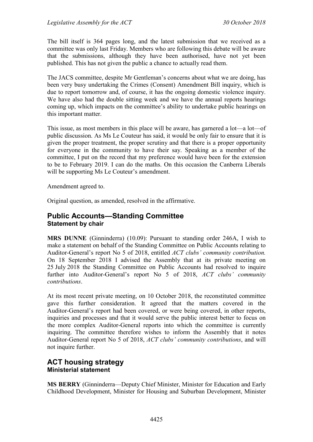The bill itself is 364 pages long, and the latest submission that we received as a committee was only last Friday. Members who are following this debate will be aware that the submissions, although they have been authorised, have not yet been published. This has not given the public a chance to actually read them.

The JACS committee, despite Mr Gentleman's concerns about what we are doing, has been very busy undertaking the Crimes (Consent) Amendment Bill inquiry, which is due to report tomorrow and, of course, it has the ongoing domestic violence inquiry. We have also had the double sitting week and we have the annual reports hearings coming up, which impacts on the committee's ability to undertake public hearings on this important matter.

This issue, as most members in this place will be aware, has garnered a lot—a lot—of public discussion. As Ms Le Couteur has said, it would be only fair to ensure that it is given the proper treatment, the proper scrutiny and that there is a proper opportunity for everyone in the community to have their say. Speaking as a member of the committee, I put on the record that my preference would have been for the extension to be to February 2019. I can do the maths. On this occasion the Canberra Liberals will be supporting Ms Le Couteur's amendment.

Amendment agreed to.

Original question, as amended, resolved in the affirmative.

### <span id="page-4-0"></span>**Public Accounts—Standing Committee Statement by chair**

**MRS DUNNE** (Ginninderra) (10.09): Pursuant to standing order 246A, I wish to make a statement on behalf of the Standing Committee on Public Accounts relating to Auditor-General's report No 5 of 2018, entitled *ACT clubs' community contribution.*  On 18 September 2018 I advised the Assembly that at its private meeting on 25 July 2018 the Standing Committee on Public Accounts had resolved to inquire further into Auditor-General's report No 5 of 2018, *ACT clubs' community contributions*.

At its most recent private meeting, on 10 October 2018, the reconstituted committee gave this further consideration. It agreed that the matters covered in the Auditor-General's report had been covered, or were being covered, in other reports, inquiries and processes and that it would serve the public interest better to focus on the more complex Auditor-General reports into which the committee is currently inquiring. The committee therefore wishes to inform the Assembly that it notes Auditor-General report No 5 of 2018, *ACT clubs' community contributions*, and will not inquire further.

## <span id="page-4-2"></span><span id="page-4-1"></span>**ACT housing strategy Ministerial statement**

**MS BERRY** (Ginninderra—Deputy Chief Minister, Minister for Education and Early Childhood Development, Minister for Housing and Suburban Development, Minister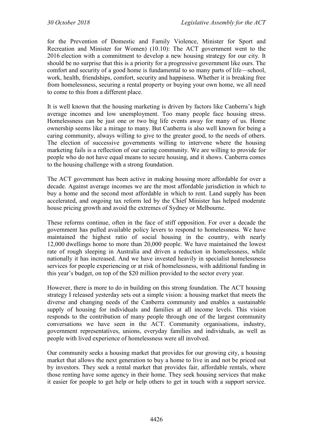for the Prevention of Domestic and Family Violence, Minister for Sport and Recreation and Minister for Women) (10.10): The ACT government went to the 2016 election with a commitment to develop a new housing strategy for our city. It should be no surprise that this is a priority for a progressive government like ours. The comfort and security of a good home is fundamental to so many parts of life—school, work, health, friendships, comfort, security and happiness. Whether it is breaking free from homelessness, securing a rental property or buying your own home, we all need to come to this from a different place.

It is well known that the housing marketing is driven by factors like Canberra's high average incomes and low unemployment. Too many people face housing stress. Homelessness can be just one or two big life events away for many of us. Home ownership seems like a mirage to many. But Canberra is also well known for being a caring community, always willing to give to the greater good, to the needs of others. The election of successive governments willing to intervene where the housing marketing fails is a reflection of our caring community. We are willing to provide for people who do not have equal means to secure housing, and it shows. Canberra comes to the housing challenge with a strong foundation.

The ACT government has been active in making housing more affordable for over a decade. Against average incomes we are the most affordable jurisdiction in which to buy a home and the second most affordable in which to rent. Land supply has been accelerated, and ongoing tax reform led by the Chief Minister has helped moderate house pricing growth and avoid the extremes of Sydney or Melbourne.

These reforms continue, often in the face of stiff opposition. For over a decade the government has pulled available policy levers to respond to homelessness. We have maintained the highest ratio of social housing in the country, with nearly 12,000 dwellings home to more than 20,000 people. We have maintained the lowest rate of rough sleeping in Australia and driven a reduction in homelessness, while nationally it has increased. And we have invested heavily in specialist homelessness services for people experiencing or at risk of homelessness, with additional funding in this year's budget, on top of the \$20 million provided to the sector every year.

However, there is more to do in building on this strong foundation. The ACT housing strategy I released yesterday sets out a simple vision: a housing market that meets the diverse and changing needs of the Canberra community and enables a sustainable supply of housing for individuals and families at all income levels. This vision responds to the contribution of many people through one of the largest community conversations we have seen in the ACT. Community organisations, industry, government representatives, unions, everyday families and individuals, as well as people with lived experience of homelessness were all involved.

Our community seeks a housing market that provides for our growing city, a housing market that allows the next generation to buy a home to live in and not be priced out by investors. They seek a rental market that provides fair, affordable rentals, where those renting have some agency in their home. They seek housing services that make it easier for people to get help or help others to get in touch with a support service.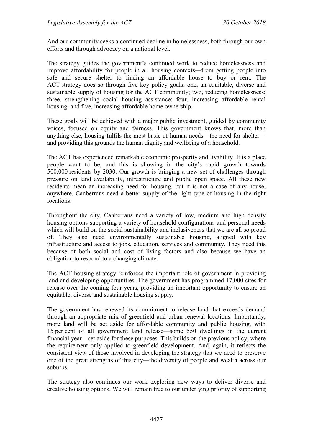And our community seeks a continued decline in homelessness, both through our own efforts and through advocacy on a national level.

The strategy guides the government's continued work to reduce homelessness and improve affordability for people in all housing contexts—from getting people into safe and secure shelter to finding an affordable house to buy or rent. The ACT strategy does so through five key policy goals: one, an equitable, diverse and sustainable supply of housing for the ACT community; two, reducing homelessness; three, strengthening social housing assistance; four, increasing affordable rental housing; and five, increasing affordable home ownership.

These goals will be achieved with a major public investment, guided by community voices, focused on equity and fairness. This government knows that, more than anything else, housing fulfils the most basic of human needs—the need for shelter and providing this grounds the human dignity and wellbeing of a household.

The ACT has experienced remarkable economic prosperity and livability. It is a place people want to be, and this is showing in the city's rapid growth towards 500,000 residents by 2030. Our growth is bringing a new set of challenges through pressure on land availability, infrastructure and public open space. All these new residents mean an increasing need for housing, but it is not a case of any house, anywhere. Canberrans need a better supply of the right type of housing in the right locations.

Throughout the city, Canberrans need a variety of low, medium and high density housing options supporting a variety of household configurations and personal needs which will build on the social sustainability and inclusiveness that we are all so proud of. They also need environmentally sustainable housing, aligned with key infrastructure and access to jobs, education, services and community. They need this because of both social and cost of living factors and also because we have an obligation to respond to a changing climate.

The ACT housing strategy reinforces the important role of government in providing land and developing opportunities. The government has programmed 17,000 sites for release over the coming four years, providing an important opportunity to ensure an equitable, diverse and sustainable housing supply.

The government has renewed its commitment to release land that exceeds demand through an appropriate mix of greenfield and urban renewal locations. Importantly, more land will be set aside for affordable community and public housing, with 15 per cent of all government land release—some 550 dwellings in the current financial year—set aside for these purposes. This builds on the previous policy, where the requirement only applied to greenfield development. And, again, it reflects the consistent view of those involved in developing the strategy that we need to preserve one of the great strengths of this city—the diversity of people and wealth across our suburbs.

The strategy also continues our work exploring new ways to deliver diverse and creative housing options. We will remain true to our underlying priority of supporting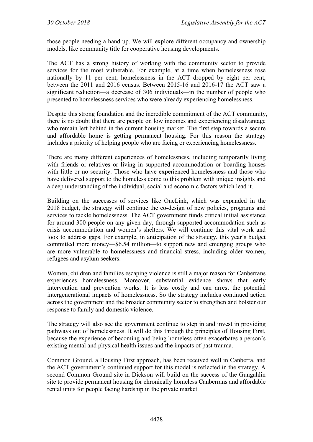those people needing a hand up. We will explore different occupancy and ownership models, like community title for cooperative housing developments.

The ACT has a strong history of working with the community sector to provide services for the most vulnerable. For example, at a time when homelessness rose nationally by 11 per cent, homelessness in the ACT dropped by eight per cent, between the 2011 and 2016 census. Between 2015-16 and 2016-17 the ACT saw a significant reduction—a decrease of 306 individuals—in the number of people who presented to homelessness services who were already experiencing homelessness.

Despite this strong foundation and the incredible commitment of the ACT community, there is no doubt that there are people on low incomes and experiencing disadvantage who remain left behind in the current housing market. The first step towards a secure and affordable home is getting permanent housing. For this reason the strategy includes a priority of helping people who are facing or experiencing homelessness.

There are many different experiences of homelessness, including temporarily living with friends or relatives or living in supported accommodation or boarding houses with little or no security. Those who have experienced homelessness and those who have delivered support to the homeless come to this problem with unique insights and a deep understanding of the individual, social and economic factors which lead it.

Building on the successes of services like OneLink, which was expanded in the 2018 budget, the strategy will continue the co-design of new policies, programs and services to tackle homelessness. The ACT government funds critical initial assistance for around 300 people on any given day, through supported accommodation such as crisis accommodation and women's shelters. We will continue this vital work and look to address gaps. For example, in anticipation of the strategy, this year's budget committed more money—\$6.54 million—to support new and emerging groups who are more vulnerable to homelessness and financial stress, including older women, refugees and asylum seekers.

Women, children and families escaping violence is still a major reason for Canberrans experiences homelessness. Moreover, substantial evidence shows that early intervention and prevention works. It is less costly and can arrest the potential intergenerational impacts of homelessness. So the strategy includes continued action across the government and the broader community sector to strengthen and bolster our response to family and domestic violence.

The strategy will also see the government continue to step in and invest in providing pathways out of homelessness. It will do this through the principles of Housing First, because the experience of becoming and being homeless often exacerbates a person's existing mental and physical health issues and the impacts of past trauma.

Common Ground, a Housing First approach, has been received well in Canberra, and the ACT government's continued support for this model is reflected in the strategy. A second Common Ground site in Dickson will build on the success of the Gungahlin site to provide permanent housing for chronically homeless Canberrans and affordable rental units for people facing hardship in the private market.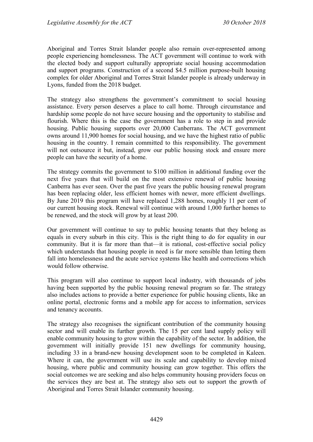Aboriginal and Torres Strait Islander people also remain over-represented among people experiencing homelessness. The ACT government will continue to work with the elected body and support culturally appropriate social housing accommodation and support programs. Construction of a second \$4.5 million purpose-built housing complex for older Aboriginal and Torres Strait Islander people is already underway in Lyons, funded from the 2018 budget.

The strategy also strengthens the government's commitment to social housing assistance. Every person deserves a place to call home. Through circumstance and hardship some people do not have secure housing and the opportunity to stabilise and flourish. Where this is the case the government has a role to step in and provide housing. Public housing supports over 20,000 Canberrans. The ACT government owns around 11,900 homes for social housing, and we have the highest ratio of public housing in the country. I remain committed to this responsibility. The government will not outsource it but, instead, grow our public housing stock and ensure more people can have the security of a home.

The strategy commits the government to \$100 million in additional funding over the next five years that will build on the most extensive renewal of public housing Canberra has ever seen. Over the past five years the public housing renewal program has been replacing older, less efficient homes with newer, more efficient dwellings. By June 2019 this program will have replaced 1,288 homes, roughly 11 per cent of our current housing stock. Renewal will continue with around 1,000 further homes to be renewed, and the stock will grow by at least 200.

Our government will continue to say to public housing tenants that they belong as equals in every suburb in this city. This is the right thing to do for equality in our community. But it is far more than that—it is rational, cost-effective social policy which understands that housing people in need is far more sensible than letting them fall into homelessness and the acute service systems like health and corrections which would follow otherwise.

This program will also continue to support local industry, with thousands of jobs having been supported by the public housing renewal program so far. The strategy also includes actions to provide a better experience for public housing clients, like an online portal, electronic forms and a mobile app for access to information, services and tenancy accounts.

The strategy also recognises the significant contribution of the community housing sector and will enable its further growth. The 15 per cent land supply policy will enable community housing to grow within the capability of the sector. In addition, the government will initially provide 151 new dwellings for community housing, including 33 in a brand-new housing development soon to be completed in Kaleen. Where it can, the government will use its scale and capability to develop mixed housing, where public and community housing can grow together. This offers the social outcomes we are seeking and also helps community housing providers focus on the services they are best at. The strategy also sets out to support the growth of Aboriginal and Torres Strait Islander community housing.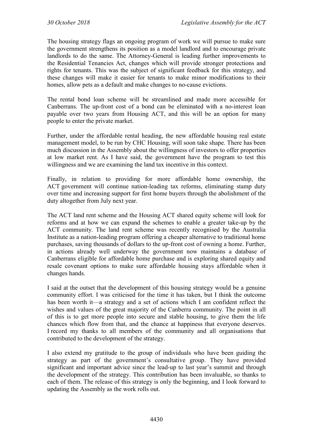The housing strategy flags an ongoing program of work we will pursue to make sure the government strengthens its position as a model landlord and to encourage private landlords to do the same. The Attorney-General is leading further improvements to the Residential Tenancies Act, changes which will provide stronger protections and rights for tenants. This was the subject of significant feedback for this strategy, and these changes will make it easier for tenants to make minor modifications to their homes, allow pets as a default and make changes to no-cause evictions.

The rental bond loan scheme will be streamlined and made more accessible for Canberrans. The up-front cost of a bond can be eliminated with a no-interest loan payable over two years from Housing ACT, and this will be an option for many people to enter the private market.

Further, under the affordable rental heading, the new affordable housing real estate management model, to be run by CHC Housing, will soon take shape. There has been much discussion in the Assembly about the willingness of investors to offer properties at low market rent. As I have said, the government have the program to test this willingness and we are examining the land tax incentive in this context.

Finally, in relation to providing for more affordable home ownership, the ACT government will continue nation-leading tax reforms, eliminating stamp duty over time and increasing support for first home buyers through the abolishment of the duty altogether from July next year.

The ACT land rent scheme and the Housing ACT shared equity scheme will look for reforms and at how we can expand the schemes to enable a greater take-up by the ACT community. The land rent scheme was recently recognised by the Australia Institute as a nation-leading program offering a cheaper alternative to traditional home purchases, saving thousands of dollars to the up-front cost of owning a home. Further, in actions already well underway the government now maintains a database of Canberrans eligible for affordable home purchase and is exploring shared equity and resale covenant options to make sure affordable housing stays affordable when it changes hands.

I said at the outset that the development of this housing strategy would be a genuine community effort. I was criticised for the time it has taken, but I think the outcome has been worth it—a strategy and a set of actions which I am confident reflect the wishes and values of the great majority of the Canberra community. The point in all of this is to get more people into secure and stable housing, to give them the life chances which flow from that, and the chance at happiness that everyone deserves. I record my thanks to all members of the community and all organisations that contributed to the development of the strategy.

I also extend my gratitude to the group of individuals who have been guiding the strategy as part of the government's consultative group. They have provided significant and important advice since the lead-up to last year's summit and through the development of the strategy. This contribution has been invaluable, so thanks to each of them. The release of this strategy is only the beginning, and I look forward to updating the Assembly as the work rolls out.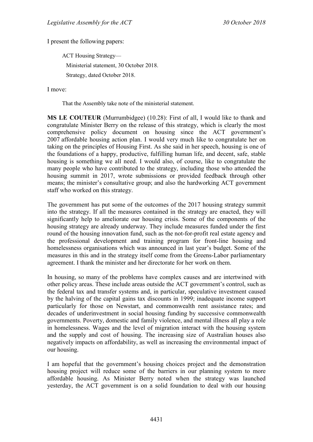I present the following papers:

ACT Housing Strategy— Ministerial statement, 30 October 2018. Strategy, dated October 2018.

I move:

That the Assembly take note of the ministerial statement.

**MS LE COUTEUR** (Murrumbidgee) (10.28): First of all, I would like to thank and congratulate Minister Berry on the release of this strategy, which is clearly the most comprehensive policy document on housing since the ACT government's 2007 affordable housing action plan. I would very much like to congratulate her on taking on the principles of Housing First. As she said in her speech, housing is one of the foundations of a happy, productive, fulfilling human life, and decent, safe, stable housing is something we all need. I would also, of course, like to congratulate the many people who have contributed to the strategy, including those who attended the housing summit in 2017, wrote submissions or provided feedback through other means; the minister's consultative group; and also the hardworking ACT government staff who worked on this strategy.

The government has put some of the outcomes of the 2017 housing strategy summit into the strategy. If all the measures contained in the strategy are enacted, they will significantly help to ameliorate our housing crisis. Some of the components of the housing strategy are already underway. They include measures funded under the first round of the housing innovation fund, such as the not-for-profit real estate agency and the professional development and training program for front-line housing and homelessness organisations which was announced in last year's budget. Some of the measures in this and in the strategy itself come from the Greens-Labor parliamentary agreement. I thank the minister and her directorate for her work on them.

In housing, so many of the problems have complex causes and are intertwined with other policy areas. These include areas outside the ACT government's control, such as the federal tax and transfer systems and, in particular, speculative investment caused by the halving of the capital gains tax discounts in 1999; inadequate income support particularly for those on Newstart, and commonwealth rent assistance rates; and decades of underinvestment in social housing funding by successive commonwealth governments. Poverty, domestic and family violence, and mental illness all play a role in homelessness. Wages and the level of migration interact with the housing system and the supply and cost of housing. The increasing size of Australian houses also negatively impacts on affordability, as well as increasing the environmental impact of our housing.

I am hopeful that the government's housing choices project and the demonstration housing project will reduce some of the barriers in our planning system to more affordable housing. As Minister Berry noted when the strategy was launched yesterday, the ACT government is on a solid foundation to deal with our housing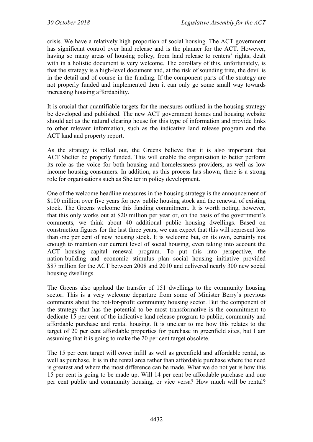crisis. We have a relatively high proportion of social housing. The ACT government has significant control over land release and is the planner for the ACT. However, having so many areas of housing policy, from land release to renters' rights, dealt with in a holistic document is very welcome. The corollary of this, unfortunately, is that the strategy is a high-level document and, at the risk of sounding trite, the devil is in the detail and of course in the funding. If the component parts of the strategy are not properly funded and implemented then it can only go some small way towards increasing housing affordability.

It is crucial that quantifiable targets for the measures outlined in the housing strategy be developed and published. The new ACT government homes and housing website should act as the natural clearing house for this type of information and provide links to other relevant information, such as the indicative land release program and the ACT land and property report.

As the strategy is rolled out, the Greens believe that it is also important that ACT Shelter be properly funded. This will enable the organisation to better perform its role as the voice for both housing and homelessness providers, as well as low income housing consumers. In addition, as this process has shown, there is a strong role for organisations such as Shelter in policy development.

One of the welcome headline measures in the housing strategy is the announcement of \$100 million over five years for new public housing stock and the renewal of existing stock. The Greens welcome this funding commitment. It is worth noting, however, that this only works out at \$20 million per year or, on the basis of the government's comments, we think about 40 additional public housing dwellings. Based on construction figures for the last three years, we can expect that this will represent less than one per cent of new housing stock. It is welcome but, on its own, certainly not enough to maintain our current level of social housing, even taking into account the ACT housing capital renewal program. To put this into perspective, the nation-building and economic stimulus plan social housing initiative provided \$87 million for the ACT between 2008 and 2010 and delivered nearly 300 new social housing dwellings.

The Greens also applaud the transfer of 151 dwellings to the community housing sector. This is a very welcome departure from some of Minister Berry's previous comments about the not-for-profit community housing sector. But the component of the strategy that has the potential to be most transformative is the commitment to dedicate 15 per cent of the indicative land release program to public, community and affordable purchase and rental housing. It is unclear to me how this relates to the target of 20 per cent affordable properties for purchase in greenfield sites, but I am assuming that it is going to make the 20 per cent target obsolete.

The 15 per cent target will cover infill as well as greenfield and affordable rental, as well as purchase. It is in the rental area rather than affordable purchase where the need is greatest and where the most difference can be made. What we do not yet is how this 15 per cent is going to be made up. Will 14 per cent be affordable purchase and one per cent public and community housing, or vice versa? How much will be rental?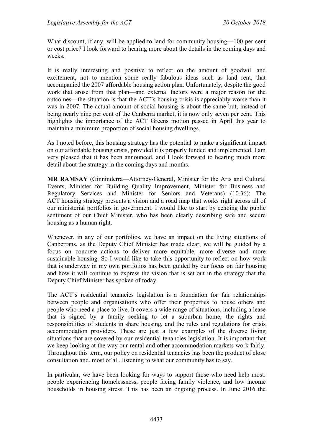What discount, if any, will be applied to land for community housing—100 per cent or cost price? I look forward to hearing more about the details in the coming days and weeks.

It is really interesting and positive to reflect on the amount of goodwill and excitement, not to mention some really fabulous ideas such as land rent, that accompanied the 2007 affordable housing action plan. Unfortunately, despite the good work that arose from that plan—and external factors were a major reason for the outcomes—the situation is that the ACT's housing crisis is appreciably worse than it was in 2007. The actual amount of social housing is about the same but, instead of being nearly nine per cent of the Canberra market, it is now only seven per cent. This highlights the importance of the ACT Greens motion passed in April this year to maintain a minimum proportion of social housing dwellings.

As I noted before, this housing strategy has the potential to make a significant impact on our affordable housing crisis, provided it is properly funded and implemented. I am very pleased that it has been announced, and I look forward to hearing much more detail about the strategy in the coming days and months.

**MR RAMSAY** (Ginninderra—Attorney-General, Minister for the Arts and Cultural Events, Minister for Building Quality Improvement, Minister for Business and Regulatory Services and Minister for Seniors and Veterans) (10.36): The ACT housing strategy presents a vision and a road map that works right across all of our ministerial portfolios in government. I would like to start by echoing the public sentiment of our Chief Minister, who has been clearly describing safe and secure housing as a human right.

Whenever, in any of our portfolios, we have an impact on the living situations of Canberrans, as the Deputy Chief Minister has made clear, we will be guided by a focus on concrete actions to deliver more equitable, more diverse and more sustainable housing. So I would like to take this opportunity to reflect on how work that is underway in my own portfolios has been guided by our focus on fair housing and how it will continue to express the vision that is set out in the strategy that the Deputy Chief Minister has spoken of today.

The ACT's residential tenancies legislation is a foundation for fair relationships between people and organisations who offer their properties to house others and people who need a place to live. It covers a wide range of situations, including a lease that is signed by a family seeking to let a suburban home, the rights and responsibilities of students in share housing, and the rules and regulations for crisis accommodation providers. These are just a few examples of the diverse living situations that are covered by our residential tenancies legislation. It is important that we keep looking at the way our rental and other accommodation markets work fairly. Throughout this term, our policy on residential tenancies has been the product of close consultation and, most of all, listening to what our community has to say.

In particular, we have been looking for ways to support those who need help most: people experiencing homelessness, people facing family violence, and low income households in housing stress. This has been an ongoing process. In June 2016 the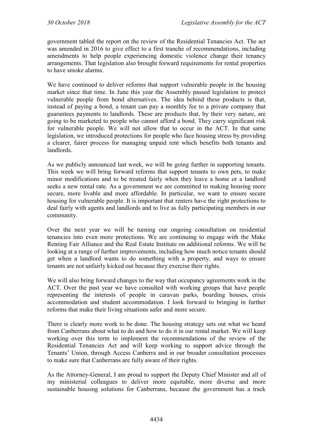government tabled the report on the review of the Residential Tenancies Act. The act was amended in 2016 to give effect to a first tranche of recommendations, including amendments to help people experiencing domestic violence change their tenancy arrangements. That legislation also brought forward requirements for rental properties to have smoke alarms.

We have continued to deliver reforms that support vulnerable people in the housing market since that time. In June this year the Assembly passed legislation to protect vulnerable people from bond alternatives. The idea behind these products is that, instead of paying a bond, a tenant can pay a monthly fee to a private company that guarantees payments to landlords. These are products that, by their very nature, are going to be marketed to people who cannot afford a bond. They carry significant risk for vulnerable people. We will not allow that to occur in the ACT. In that same legislation, we introduced protections for people who face housing stress by providing a clearer, fairer process for managing unpaid rent which benefits both tenants and landlords.

As we publicly announced last week, we will be going further in supporting tenants. This week we will bring forward reforms that support tenants to own pets, to make minor modifications and to be treated fairly when they leave a home or a landlord seeks a new rental rate. As a government we are committed to making housing more secure, more livable and more affordable. In particular, we want to ensure secure housing for vulnerable people. It is important that renters have the right protections to deal fairly with agents and landlords and to live as fully participating members in our community.

Over the next year we will be turning our ongoing consultation on residential tenancies into even more protections. We are continuing to engage with the Make Renting Fair Alliance and the Real Estate Institute on additional reforms. We will be looking at a range of further improvements, including how much notice tenants should get when a landlord wants to do something with a property, and ways to ensure tenants are not unfairly kicked out because they exercise their rights.

We will also bring forward changes to the way that occupancy agreements work in the ACT. Over the past year we have consulted with working groups that have people representing the interests of people in caravan parks, boarding houses, crisis accommodation and student accommodation. I look forward to bringing in further reforms that make their living situations safer and more secure.

There is clearly more work to be done. The housing strategy sets out what we heard from Canberrans about what to do and how to do it in our rental market. We will keep working over this term to implement the recommendations of the review of the Residential Tenancies Act and will keep working to support advice through the Tenants' Union, through Access Canberra and in our broader consultation processes to make sure that Canberrans are fully aware of their rights.

As the Attorney-General, I am proud to support the Deputy Chief Minister and all of my ministerial colleagues to deliver more equitable, more diverse and more sustainable housing solutions for Canberrans, because the government has a track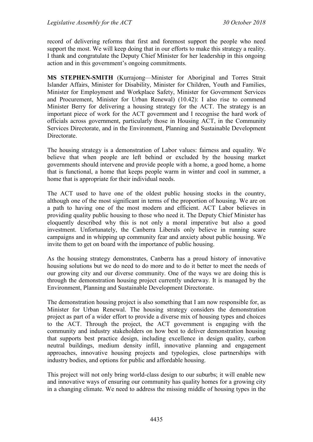record of delivering reforms that first and foremost support the people who need support the most. We will keep doing that in our efforts to make this strategy a reality. I thank and congratulate the Deputy Chief Minister for her leadership in this ongoing action and in this government's ongoing commitments.

**MS STEPHEN-SMITH** (Kurrajong—Minister for Aboriginal and Torres Strait Islander Affairs, Minister for Disability, Minister for Children, Youth and Families, Minister for Employment and Workplace Safety, Minister for Government Services and Procurement, Minister for Urban Renewal) (10.42): I also rise to commend Minister Berry for delivering a housing strategy for the ACT. The strategy is an important piece of work for the ACT government and I recognise the hard work of officials across government, particularly those in Housing ACT, in the Community Services Directorate, and in the Environment, Planning and Sustainable Development Directorate.

The housing strategy is a demonstration of Labor values: fairness and equality. We believe that when people are left behind or excluded by the housing market governments should intervene and provide people with a home, a good home, a home that is functional, a home that keeps people warm in winter and cool in summer, a home that is appropriate for their individual needs.

The ACT used to have one of the oldest public housing stocks in the country, although one of the most significant in terms of the proportion of housing. We are on a path to having one of the most modern and efficient. ACT Labor believes in providing quality public housing to those who need it. The Deputy Chief Minister has eloquently described why this is not only a moral imperative but also a good investment. Unfortunately, the Canberra Liberals only believe in running scare campaigns and in whipping up community fear and anxiety about public housing. We invite them to get on board with the importance of public housing.

As the housing strategy demonstrates, Canberra has a proud history of innovative housing solutions but we do need to do more and to do it better to meet the needs of our growing city and our diverse community. One of the ways we are doing this is through the demonstration housing project currently underway. It is managed by the Environment, Planning and Sustainable Development Directorate.

The demonstration housing project is also something that I am now responsible for, as Minister for Urban Renewal. The housing strategy considers the demonstration project as part of a wider effort to provide a diverse mix of housing types and choices to the ACT. Through the project, the ACT government is engaging with the community and industry stakeholders on how best to deliver demonstration housing that supports best practice design, including excellence in design quality, carbon neutral buildings, medium density infill, innovative planning and engagement approaches, innovative housing projects and typologies, close partnerships with industry bodies, and options for public and affordable housing.

This project will not only bring world-class design to our suburbs; it will enable new and innovative ways of ensuring our community has quality homes for a growing city in a changing climate. We need to address the missing middle of housing types in the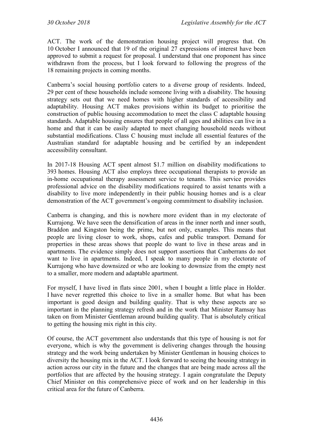ACT. The work of the demonstration housing project will progress that. On 10 October I announced that 19 of the original 27 expressions of interest have been approved to submit a request for proposal. I understand that one proponent has since withdrawn from the process, but I look forward to following the progress of the 18 remaining projects in coming months.

Canberra's social housing portfolio caters to a diverse group of residents. Indeed, 29 per cent of these households include someone living with a disability. The housing strategy sets out that we need homes with higher standards of accessibility and adaptability. Housing ACT makes provisions within its budget to prioritise the construction of public housing accommodation to meet the class C adaptable housing standards. Adaptable housing ensures that people of all ages and abilities can live in a home and that it can be easily adapted to meet changing household needs without substantial modifications. Class C housing must include all essential features of the Australian standard for adaptable housing and be certified by an independent accessibility consultant.

In 2017-18 Housing ACT spent almost \$1.7 million on disability modifications to 393 homes. Housing ACT also employs three occupational therapists to provide an in-home occupational therapy assessment service to tenants. This service provides professional advice on the disability modifications required to assist tenants with a disability to live more independently in their public housing homes and is a clear demonstration of the ACT government's ongoing commitment to disability inclusion.

Canberra is changing, and this is nowhere more evident than in my electorate of Kurrajong. We have seen the densification of areas in the inner north and inner south, Braddon and Kingston being the prime, but not only, examples. This means that people are living closer to work, shops, cafes and public transport. Demand for properties in these areas shows that people do want to live in these areas and in apartments. The evidence simply does not support assertions that Canberrans do not want to live in apartments. Indeed, I speak to many people in my electorate of Kurrajong who have downsized or who are looking to downsize from the empty nest to a smaller, more modern and adaptable apartment.

For myself, I have lived in flats since 2001, when I bought a little place in Holder. I have never regretted this choice to live in a smaller home. But what has been important is good design and building quality. That is why these aspects are so important in the planning strategy refresh and in the work that Minister Ramsay has taken on from Minister Gentleman around building quality. That is absolutely critical to getting the housing mix right in this city.

Of course, the ACT government also understands that this type of housing is not for everyone, which is why the government is delivering changes through the housing strategy and the work being undertaken by Minister Gentleman in housing choices to diversity the housing mix in the ACT. I look forward to seeing the housing strategy in action across our city in the future and the changes that are being made across all the portfolios that are affected by the housing strategy. I again congratulate the Deputy Chief Minister on this comprehensive piece of work and on her leadership in this critical area for the future of Canberra.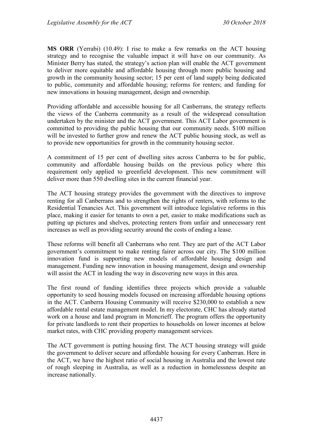**MS ORR** (Yerrabi) (10.49): I rise to make a few remarks on the ACT housing strategy and to recognise the valuable impact it will have on our community. As Minister Berry has stated, the strategy's action plan will enable the ACT government to deliver more equitable and affordable housing through more public housing and growth in the community housing sector; 15 per cent of land supply being dedicated to public, community and affordable housing; reforms for renters; and funding for new innovations in housing management, design and ownership.

Providing affordable and accessible housing for all Canberrans, the strategy reflects the views of the Canberra community as a result of the widespread consultation undertaken by the minister and the ACT government. This ACT Labor government is committed to providing the public housing that our community needs. \$100 million will be invested to further grow and renew the ACT public housing stock, as well as to provide new opportunities for growth in the community housing sector.

A commitment of 15 per cent of dwelling sites across Canberra to be for public, community and affordable housing builds on the previous policy where this requirement only applied to greenfield development. This new commitment will deliver more than 550 dwelling sites in the current financial year.

The ACT housing strategy provides the government with the directives to improve renting for all Canberrans and to strengthen the rights of renters, with reforms to the Residential Tenancies Act. This government will introduce legislative reforms in this place, making it easier for tenants to own a pet, easier to make modifications such as putting up pictures and shelves, protecting renters from unfair and unnecessary rent increases as well as providing security around the costs of ending a lease.

These reforms will benefit all Canberrans who rent. They are part of the ACT Labor government's commitment to make renting fairer across our city. The \$100 million innovation fund is supporting new models of affordable housing design and management. Funding new innovation in housing management, design and ownership will assist the ACT in leading the way in discovering new ways in this area.

The first round of funding identifies three projects which provide a valuable opportunity to seed housing models focused on increasing affordable housing options in the ACT. Canberra Housing Community will receive \$230,000 to establish a new affordable rental estate management model. In my electorate, CHC has already started work on a house and land program in Moncrieff. The program offers the opportunity for private landlords to rent their properties to households on lower incomes at below market rates, with CHC providing property management services.

The ACT government is putting housing first. The ACT housing strategy will guide the government to deliver secure and affordable housing for every Canberran. Here in the ACT, we have the highest ratio of social housing in Australia and the lowest rate of rough sleeping in Australia, as well as a reduction in homelessness despite an increase nationally.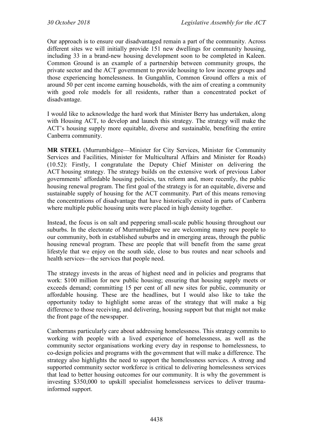Our approach is to ensure our disadvantaged remain a part of the community. Across different sites we will initially provide 151 new dwellings for community housing, including 33 in a brand-new housing development soon to be completed in Kaleen. Common Ground is an example of a partnership between community groups, the private sector and the ACT government to provide housing to low income groups and those experiencing homelessness. In Gungahlin, Common Ground offers a mix of around 50 per cent income earning households, with the aim of creating a community with good role models for all residents, rather than a concentrated pocket of disadvantage.

I would like to acknowledge the hard work that Minister Berry has undertaken, along with Housing ACT, to develop and launch this strategy. The strategy will make the ACT's housing supply more equitable, diverse and sustainable, benefiting the entire Canberra community.

**MR STEEL** (Murrumbidgee—Minister for City Services, Minister for Community Services and Facilities, Minister for Multicultural Affairs and Minister for Roads) (10.52): Firstly, I congratulate the Deputy Chief Minister on delivering the ACT housing strategy. The strategy builds on the extensive work of previous Labor governments' affordable housing policies, tax reform and, more recently, the public housing renewal program. The first goal of the strategy is for an equitable, diverse and sustainable supply of housing for the ACT community. Part of this means removing the concentrations of disadvantage that have historically existed in parts of Canberra where multiple public housing units were placed in high density together.

Instead, the focus is on salt and peppering small-scale public housing throughout our suburbs. In the electorate of Murrumbidgee we are welcoming many new people to our community, both in established suburbs and in emerging areas, through the public housing renewal program. These are people that will benefit from the same great lifestyle that we enjoy on the south side, close to bus routes and near schools and health services—the services that people need.

The strategy invests in the areas of highest need and in policies and programs that work: \$100 million for new public housing; ensuring that housing supply meets or exceeds demand; committing 15 per cent of all new sites for public, community or affordable housing. These are the headlines, but I would also like to take the opportunity today to highlight some areas of the strategy that will make a big difference to those receiving, and delivering, housing support but that might not make the front page of the newspaper.

Canberrans particularly care about addressing homelessness. This strategy commits to working with people with a lived experience of homelessness, as well as the community sector organisations working every day in response to homelessness, to co-design policies and programs with the government that will make a difference. The strategy also highlights the need to support the homelessness services. A strong and supported community sector workforce is critical to delivering homelessness services that lead to better housing outcomes for our community. It is why the government is investing \$350,000 to upskill specialist homelessness services to deliver traumainformed support.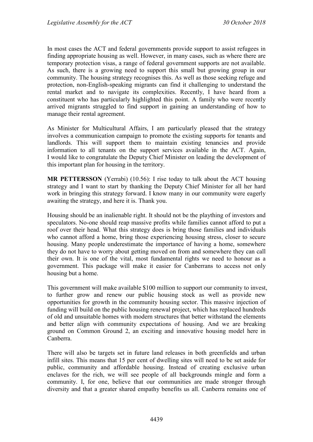In most cases the ACT and federal governments provide support to assist refugees in finding appropriate housing as well. However, in many cases, such as where there are temporary protection visas, a range of federal government supports are not available. As such, there is a growing need to support this small but growing group in our community. The housing strategy recognises this. As well as those seeking refuge and protection, non-English-speaking migrants can find it challenging to understand the rental market and to navigate its complexities. Recently, I have heard from a constituent who has particularly highlighted this point. A family who were recently arrived migrants struggled to find support in gaining an understanding of how to manage their rental agreement.

As Minister for Multicultural Affairs, I am particularly pleased that the strategy involves a communication campaign to promote the existing supports for tenants and landlords. This will support them to maintain existing tenancies and provide information to all tenants on the support services available in the ACT. Again, I would like to congratulate the Deputy Chief Minister on leading the development of this important plan for housing in the territory.

**MR PETTERSSON** (Yerrabi) (10.56): I rise today to talk about the ACT housing strategy and I want to start by thanking the Deputy Chief Minister for all her hard work in bringing this strategy forward. I know many in our community were eagerly awaiting the strategy, and here it is. Thank you.

Housing should be an inalienable right. It should not be the plaything of investors and speculators. No-one should reap massive profits while families cannot afford to put a roof over their head. What this strategy does is bring those families and individuals who cannot afford a home, bring those experiencing housing stress, closer to secure housing. Many people underestimate the importance of having a home, somewhere they do not have to worry about getting moved on from and somewhere they can call their own. It is one of the vital, most fundamental rights we need to honour as a government. This package will make it easier for Canberrans to access not only housing but a home.

This government will make available \$100 million to support our community to invest, to further grow and renew our public housing stock as well as provide new opportunities for growth in the community housing sector. This massive injection of funding will build on the public housing renewal project, which has replaced hundreds of old and unsuitable homes with modern structures that better withstand the elements and better align with community expectations of housing. And we are breaking ground on Common Ground 2, an exciting and innovative housing model here in Canberra.

There will also be targets set in future land releases in both greenfields and urban infill sites. This means that 15 per cent of dwelling sites will need to be set aside for public, community and affordable housing. Instead of creating exclusive urban enclaves for the rich, we will see people of all backgrounds mingle and form a community. I, for one, believe that our communities are made stronger through diversity and that a greater shared empathy benefits us all. Canberra remains one of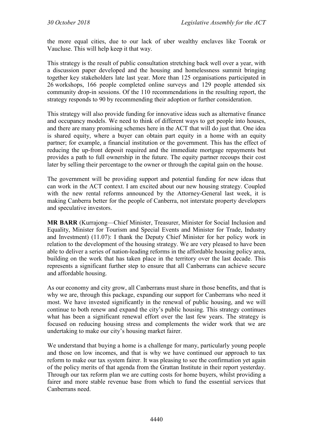the more equal cities, due to our lack of uber wealthy enclaves like Toorak or Vaucluse. This will help keep it that way.

This strategy is the result of public consultation stretching back well over a year, with a discussion paper developed and the housing and homelessness summit bringing together key stakeholders late last year. More than 125 organisations participated in 26 workshops, 166 people completed online surveys and 129 people attended six community drop-in sessions. Of the 110 recommendations in the resulting report, the strategy responds to 90 by recommending their adoption or further consideration.

This strategy will also provide funding for innovative ideas such as alternative finance and occupancy models. We need to think of different ways to get people into houses, and there are many promising schemes here in the ACT that will do just that. One idea is shared equity, where a buyer can obtain part equity in a home with an equity partner; for example, a financial institution or the government. This has the effect of reducing the up-front deposit required and the immediate mortgage repayments but provides a path to full ownership in the future. The equity partner recoups their cost later by selling their percentage to the owner or through the capital gain on the house.

The government will be providing support and potential funding for new ideas that can work in the ACT context. I am excited about our new housing strategy. Coupled with the new rental reforms announced by the Attorney-General last week, it is making Canberra better for the people of Canberra, not interstate property developers and speculative investors.

**MR BARR** (Kurrajong—Chief Minister, Treasurer, Minister for Social Inclusion and Equality, Minister for Tourism and Special Events and Minister for Trade, Industry and Investment) (11.07): I thank the Deputy Chief Minister for her policy work in relation to the development of the housing strategy. We are very pleased to have been able to deliver a series of nation-leading reforms in the affordable housing policy area, building on the work that has taken place in the territory over the last decade. This represents a significant further step to ensure that all Canberrans can achieve secure and affordable housing.

As our economy and city grow, all Canberrans must share in those benefits, and that is why we are, through this package, expanding our support for Canberrans who need it most. We have invested significantly in the renewal of public housing, and we will continue to both renew and expand the city's public housing. This strategy continues what has been a significant renewal effort over the last few years. The strategy is focused on reducing housing stress and complements the wider work that we are undertaking to make our city's housing market fairer.

We understand that buying a home is a challenge for many, particularly young people and those on low incomes, and that is why we have continued our approach to tax reform to make our tax system fairer. It was pleasing to see the confirmation yet again of the policy merits of that agenda from the Grattan Institute in their report yesterday. Through our tax reform plan we are cutting costs for home buyers, whilst providing a fairer and more stable revenue base from which to fund the essential services that Canberrans need.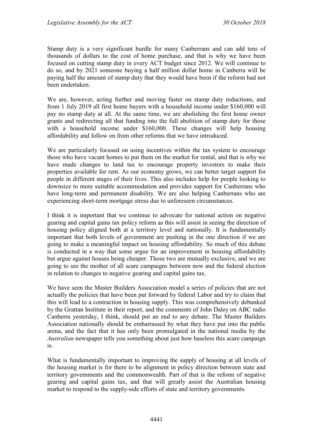Stamp duty is a very significant hurdle for many Canberrans and can add tens of thousands of dollars to the cost of home purchase, and that is why we have been focused on cutting stamp duty in every ACT budget since 2012. We will continue to do so, and by 2021 someone buying a half million dollar home in Canberra will be paying half the amount of stamp duty that they would have been if the reform had not been undertaken.

We are, however, acting further and moving faster on stamp duty reductions, and from 1 July 2019 all first home buyers with a household income under \$160,000 will pay no stamp duty at all. At the same time, we are abolishing the first home owner grants and redirecting all that funding into the full abolition of stamp duty for those with a household income under \$160,000. These changes will help housing affordability and follow on from other reforms that we have introduced.

We are particularly focused on using incentives within the tax system to encourage those who have vacant homes to put them on the market for rental, and that is why we have made changes to land tax to encourage property investors to make their properties available for rent. As our economy grows, we can better target support for people in different stages of their lives. This also includes help for people looking to downsize to more suitable accommodation and provides support for Canberrans who have long-term and permanent disability. We are also helping Canberrans who are experiencing short-term mortgage stress due to unforeseen circumstances.

I think it is important that we continue to advocate for national action on negative gearing and capital gains tax policy reform as this will assist in seeing the direction of housing policy aligned both at a territory level and nationally. It is fundamentally important that both levels of government are pushing in the one direction if we are going to make a meaningful impact on housing affordability. So much of this debate is conducted in a way that some argue for an improvement in housing affordability but argue against houses being cheaper. Those two are mutually exclusive, and we are going to see the mother of all scare campaigns between now and the federal election in relation to changes to negative gearing and capital gains tax.

We have seen the Master Builders Association model a series of policies that are not actually the policies that have been put forward by federal Labor and try to claim that this will lead to a contraction in housing supply. This was comprehensively debunked by the Grattan Institute in their report, and the comments of John Daley on ABC radio Canberra yesterday, I think, should put an end to any debate. The Master Builders Association nationally should be embarrassed by what they have put into the public arena, and the fact that it has only been promulgated in the national media by the *Australian* newspaper tells you something about just how baseless this scare campaign is.

What is fundamentally important to improving the supply of housing at all levels of the housing market is for there to be alignment in policy direction between state and territory governments and the commonwealth. Part of that is the reform of negative gearing and capital gains tax, and that will greatly assist the Australian housing market to respond to the supply-side efforts of state and territory governments.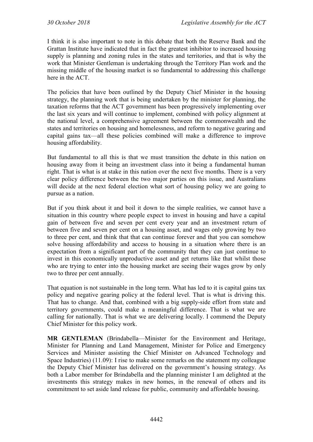I think it is also important to note in this debate that both the Reserve Bank and the Grattan Institute have indicated that in fact the greatest inhibitor to increased housing supply is planning and zoning rules in the states and territories, and that is why the work that Minister Gentleman is undertaking through the Territory Plan work and the missing middle of the housing market is so fundamental to addressing this challenge here in the ACT.

The policies that have been outlined by the Deputy Chief Minister in the housing strategy, the planning work that is being undertaken by the minister for planning, the taxation reforms that the ACT government has been progressively implementing over the last six years and will continue to implement, combined with policy alignment at the national level, a comprehensive agreement between the commonwealth and the states and territories on housing and homelessness, and reform to negative gearing and capital gains tax—all these policies combined will make a difference to improve housing affordability.

But fundamental to all this is that we must transition the debate in this nation on housing away from it being an investment class into it being a fundamental human right. That is what is at stake in this nation over the next five months. There is a very clear policy difference between the two major parties on this issue, and Australians will decide at the next federal election what sort of housing policy we are going to pursue as a nation.

But if you think about it and boil it down to the simple realities, we cannot have a situation in this country where people expect to invest in housing and have a capital gain of between five and seven per cent every year and an investment return of between five and seven per cent on a housing asset, and wages only growing by two to three per cent, and think that that can continue forever and that you can somehow solve housing affordability and access to housing in a situation where there is an expectation from a significant part of the community that they can just continue to invest in this economically unproductive asset and get returns like that whilst those who are trying to enter into the housing market are seeing their wages grow by only two to three per cent annually.

That equation is not sustainable in the long term. What has led to it is capital gains tax policy and negative gearing policy at the federal level. That is what is driving this. That has to change. And that, combined with a big supply-side effort from state and territory governments, could make a meaningful difference. That is what we are calling for nationally. That is what we are delivering locally. I commend the Deputy Chief Minister for this policy work.

**MR GENTLEMAN** (Brindabella—Minister for the Environment and Heritage, Minister for Planning and Land Management, Minister for Police and Emergency Services and Minister assisting the Chief Minister on Advanced Technology and Space Industries) (11.09): I rise to make some remarks on the statement my colleague the Deputy Chief Minister has delivered on the government's housing strategy. As both a Labor member for Brindabella and the planning minister I am delighted at the investments this strategy makes in new homes, in the renewal of others and its commitment to set aside land release for public, community and affordable housing.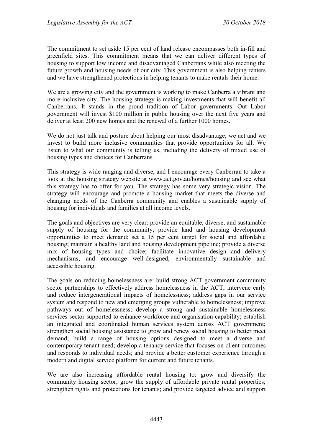The commitment to set aside 15 per cent of land release encompasses both in-fill and greenfield sites. This commitment means that we can deliver different types of housing to support low income and disadvantaged Canberrans while also meeting the future growth and housing needs of our city. This government is also helping renters and we have strengthened protections in helping tenants to make rentals their home.

We are a growing city and the government is working to make Canberra a vibrant and more inclusive city. The housing strategy is making investments that will benefit all Canberrans. It stands in the proud tradition of Labor governments. Out Labor government will invest \$100 million in public housing over the next five years and deliver at least 200 new homes and the renewal of a further 1000 homes.

We do not just talk and posture about helping our most disadvantage; we act and we invest to build more inclusive communities that provide opportunities for all. We listen to what our community is telling us, including the delivery of mixed use of housing types and choices for Canberrans.

This strategy is wide-ranging and diverse, and I encourage every Canberran to take a look at the housing strategy website at www.act.gov.au/homes/housing and see what this strategy has to offer for you. The strategy has some very strategic vision. The strategy will encourage and promote a housing market that meets the diverse and changing needs of the Canberra community and enables a sustainable supply of housing for individuals and families at all income levels.

The goals and objectives are very clear: provide an equitable, diverse, and sustainable supply of housing for the community; provide land and housing development opportunities to meet demand; set a 15 per cent target for social and affordable housing; maintain a healthy land and housing development pipeline; provide a diverse mix of housing types and choice; facilitate innovative design and delivery mechanisms; and encourage well-designed, environmentally sustainable and accessible housing.

The goals on reducing homelessness are: build strong ACT government community sector partnerships to effectively address homelessness in the ACT; intervene early and reduce intergenerational impacts of homelessness; address gaps in our service system and respond to new and emerging groups vulnerable to homelessness; improve pathways out of homelessness; develop a strong and sustainable homelessness services sector supported to enhance workforce and organisation capability; establish an integrated and coordinated human services system across ACT government; strengthen social housing assistance to grow and renew social housing to better meet demand; build a range of housing options designed to meet a diverse and contemporary tenant need; develop a tenancy service that focuses on client outcomes and responds to individual needs; and provide a better customer experience through a modern and digital service platform for current and future tenants.

We are also increasing affordable rental housing to: grow and diversify the community housing sector; grow the supply of affordable private rental properties; strengthen rights and protections for tenants; and provide targeted advice and support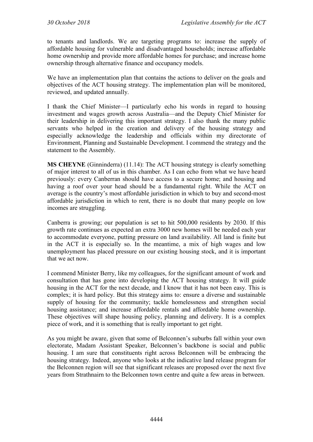to tenants and landlords. We are targeting programs to: increase the supply of affordable housing for vulnerable and disadvantaged households; increase affordable home ownership and provide more affordable homes for purchase; and increase home ownership through alternative finance and occupancy models.

We have an implementation plan that contains the actions to deliver on the goals and objectives of the ACT housing strategy. The implementation plan will be monitored, reviewed, and updated annually.

I thank the Chief Minister—I particularly echo his words in regard to housing investment and wages growth across Australia—and the Deputy Chief Minister for their leadership in delivering this important strategy. I also thank the many public servants who helped in the creation and delivery of the housing strategy and especially acknowledge the leadership and officials within my directorate of Environment, Planning and Sustainable Development. I commend the strategy and the statement to the Assembly.

**MS CHEYNE** (Ginninderra) (11.14): The ACT housing strategy is clearly something of major interest to all of us in this chamber. As I can echo from what we have heard previously: every Canberran should have access to a secure home; and housing and having a roof over your head should be a fundamental right. While the ACT on average is the country's most affordable jurisdiction in which to buy and second-most affordable jurisdiction in which to rent, there is no doubt that many people on low incomes are struggling.

Canberra is growing; our population is set to hit 500,000 residents by 2030. If this growth rate continues as expected an extra 3000 new homes will be needed each year to accommodate everyone, putting pressure on land availability. All land is finite but in the ACT it is especially so. In the meantime, a mix of high wages and low unemployment has placed pressure on our existing housing stock, and it is important that we act now.

I commend Minister Berry, like my colleagues, for the significant amount of work and consultation that has gone into developing the ACT housing strategy. It will guide housing in the ACT for the next decade, and I know that it has not been easy. This is complex; it is hard policy. But this strategy aims to: ensure a diverse and sustainable supply of housing for the community; tackle homelessness and strengthen social housing assistance; and increase affordable rentals and affordable home ownership. These objectives will shape housing policy, planning and delivery. It is a complex piece of work, and it is something that is really important to get right.

As you might be aware, given that some of Belconnen's suburbs fall within your own electorate, Madam Assistant Speaker, Belconnen's backbone is social and public housing. I am sure that constituents right across Belconnen will be embracing the housing strategy. Indeed, anyone who looks at the indicative land release program for the Belconnen region will see that significant releases are proposed over the next five years from Strathnairn to the Belconnen town centre and quite a few areas in between.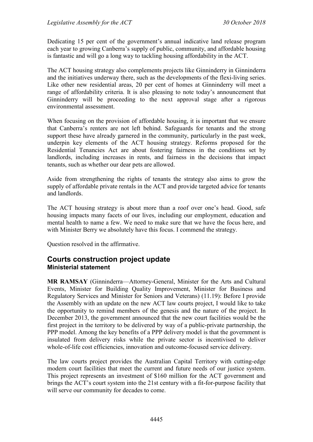Dedicating 15 per cent of the government's annual indicative land release program each year to growing Canberra's supply of public, community, and affordable housing is fantastic and will go a long way to tackling housing affordability in the ACT.

The ACT housing strategy also complements projects like Ginninderry in Ginninderra and the initiatives underway there, such as the developments of the flexi-living series. Like other new residential areas, 20 per cent of homes at Ginninderry will meet a range of affordability criteria. It is also pleasing to note today's announcement that Ginninderry will be proceeding to the next approval stage after a rigorous environmental assessment.

When focusing on the provision of affordable housing, it is important that we ensure that Canberra's renters are not left behind. Safeguards for tenants and the strong support these have already garnered in the community, particularly in the past week, underpin key elements of the ACT housing strategy. Reforms proposed for the Residential Tenancies Act are about fostering fairness in the conditions set by landlords, including increases in rents, and fairness in the decisions that impact tenants, such as whether our dear pets are allowed.

Aside from strengthening the rights of tenants the strategy also aims to grow the supply of affordable private rentals in the ACT and provide targeted advice for tenants and landlords.

The ACT housing strategy is about more than a roof over one's head. Good, safe housing impacts many facets of our lives, including our employment, education and mental health to name a few. We need to make sure that we have the focus here, and with Minister Berry we absolutely have this focus. I commend the strategy.

Question resolved in the affirmative.

### <span id="page-24-1"></span><span id="page-24-0"></span>**Courts construction project update Ministerial statement**

**MR RAMSAY** (Ginninderra—Attorney-General, Minister for the Arts and Cultural Events, Minister for Building Quality Improvement, Minister for Business and Regulatory Services and Minister for Seniors and Veterans) (11.19): Before I provide the Assembly with an update on the new ACT law courts project, I would like to take the opportunity to remind members of the genesis and the nature of the project. In December 2013, the government announced that the new court facilities would be the first project in the territory to be delivered by way of a public-private partnership, the PPP model. Among the key benefits of a PPP delivery model is that the government is insulated from delivery risks while the private sector is incentivised to deliver whole-of-life cost efficiencies, innovation and outcome-focused service delivery.

The law courts project provides the Australian Capital Territory with cutting-edge modern court facilities that meet the current and future needs of our justice system. This project represents an investment of \$160 million for the ACT government and brings the ACT's court system into the 21st century with a fit-for-purpose facility that will serve our community for decades to come.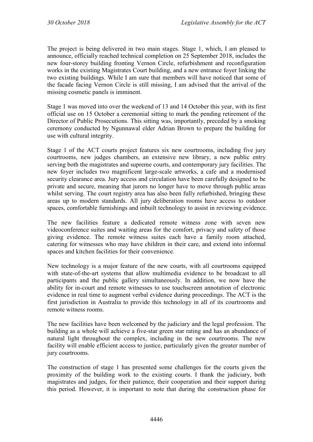The project is being delivered in two main stages. Stage 1, which, I am pleased to announce, officially reached technical completion on 25 September 2018, includes the new four-storey building fronting Vernon Circle, refurbishment and reconfiguration works in the existing Magistrates Court building, and a new entrance foyer linking the two existing buildings. While I am sure that members will have noticed that some of the facade facing Vernon Circle is still missing, I am advised that the arrival of the missing cosmetic panels is imminent.

Stage 1 was moved into over the weekend of 13 and 14 October this year, with its first official use on 15 October a ceremonial sitting to mark the pending retirement of the Director of Public Prosecutions. This sitting was, importantly, preceded by a smoking ceremony conducted by Ngunnawal elder Adrian Brown to prepare the building for use with cultural integrity.

Stage 1 of the ACT courts project features six new courtrooms, including five jury courtrooms, new judges chambers, an extensive new library, a new public entry serving both the magistrates and supreme courts, and contemporary jury facilities. The new foyer includes two magnificent large-scale artworks, a cafe and a modernised security clearance area. Jury access and circulation have been carefully designed to be private and secure, meaning that jurors no longer have to move through public areas whilst serving. The court registry area has also been fully refurbished, bringing these areas up to modern standards. All jury deliberation rooms have access to outdoor spaces, comfortable furnishings and inbuilt technology to assist in reviewing evidence.

The new facilities feature a dedicated remote witness zone with seven new videoconference suites and waiting areas for the comfort, privacy and safety of those giving evidence. The remote witness suites each have a family room attached, catering for witnesses who may have children in their care, and extend into informal spaces and kitchen facilities for their convenience.

New technology is a major feature of the new courts, with all courtrooms equipped with state-of-the-art systems that allow multimedia evidence to be broadcast to all participants and the public gallery simultaneously. In addition, we now have the ability for in-court and remote witnesses to use touchscreen annotation of electronic evidence in real time to augment verbal evidence during proceedings. The ACT is the first jurisdiction in Australia to provide this technology in all of its courtrooms and remote witness rooms.

The new facilities have been welcomed by the judiciary and the legal profession. The building as a whole will achieve a five-star green star rating and has an abundance of natural light throughout the complex, including in the new courtrooms. The new facility will enable efficient access to justice, particularly given the greater number of jury courtrooms.

The construction of stage 1 has presented some challenges for the courts given the proximity of the building work to the existing courts. I thank the judiciary, both magistrates and judges, for their patience, their cooperation and their support during this period. However, it is important to note that during the construction phase for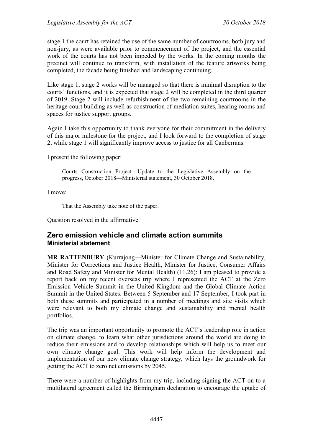stage 1 the court has retained the use of the same number of courtrooms, both jury and non-jury, as were available prior to commencement of the project, and the essential work of the courts has not been impeded by the works. In the coming months the precinct will continue to transform, with installation of the feature artworks being completed, the facade being finished and landscaping continuing.

Like stage 1, stage 2 works will be managed so that there is minimal disruption to the courts' functions, and it is expected that stage 2 will be completed in the third quarter of 2019. Stage 2 will include refurbishment of the two remaining courtrooms in the heritage court building as well as construction of mediation suites, hearing rooms and spaces for justice support groups.

Again I take this opportunity to thank everyone for their commitment in the delivery of this major milestone for the project, and I look forward to the completion of stage 2, while stage 1 will significantly improve access to justice for all Canberrans.

I present the following paper:

Courts Construction Project—Update to the Legislative Assembly on the progress, October 2018—Ministerial statement, 30 October 2018.

I move:

That the Assembly take note of the paper.

Question resolved in the affirmative.

### <span id="page-26-1"></span><span id="page-26-0"></span>**Zero emission vehicle and climate action summits Ministerial statement**

**MR RATTENBURY** (Kurrajong—Minister for Climate Change and Sustainability, Minister for Corrections and Justice Health, Minister for Justice, Consumer Affairs and Road Safety and Minister for Mental Health) (11.26): I am pleased to provide a report back on my recent overseas trip where I represented the ACT at the Zero Emission Vehicle Summit in the United Kingdom and the Global Climate Action Summit in the United States. Between 5 September and 17 September, I took part in both these summits and participated in a number of meetings and site visits which were relevant to both my climate change and sustainability and mental health portfolios.

The trip was an important opportunity to promote the ACT's leadership role in action on climate change, to learn what other jurisdictions around the world are doing to reduce their emissions and to develop relationships which will help us to meet our own climate change goal. This work will help inform the development and implementation of our new climate change strategy, which lays the groundwork for getting the ACT to zero net emissions by 2045.

There were a number of highlights from my trip, including signing the ACT on to a multilateral agreement called the Birmingham declaration to encourage the uptake of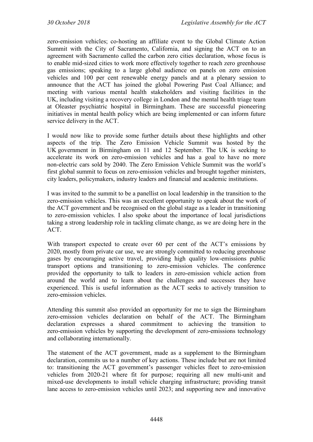zero-emission vehicles; co-hosting an affiliate event to the Global Climate Action Summit with the City of Sacramento, California, and signing the ACT on to an agreement with Sacramento called the carbon zero cities declaration, whose focus is to enable mid-sized cities to work more effectively together to reach zero greenhouse gas emissions; speaking to a large global audience on panels on zero emission vehicles and 100 per cent renewable energy panels and at a plenary session to announce that the ACT has joined the global Powering Past Coal Alliance; and meeting with various mental health stakeholders and visiting facilities in the UK, including visiting a recovery college in London and the mental health triage team at Oleaster psychiatric hospital in Birmingham. These are successful pioneering initiatives in mental health policy which are being implemented or can inform future service delivery in the ACT.

I would now like to provide some further details about these highlights and other aspects of the trip. The Zero Emission Vehicle Summit was hosted by the UK government in Birmingham on 11 and 12 September. The UK is seeking to accelerate its work on zero-emission vehicles and has a goal to have no more non-electric cars sold by 2040. The Zero Emission Vehicle Summit was the world's first global summit to focus on zero-emission vehicles and brought together ministers, city leaders, policymakers, industry leaders and financial and academic institutions.

I was invited to the summit to be a panellist on local leadership in the transition to the zero-emission vehicles. This was an excellent opportunity to speak about the work of the ACT government and be recognised on the global stage as a leader in transitioning to zero-emission vehicles. I also spoke about the importance of local jurisdictions taking a strong leadership role in tackling climate change, as we are doing here in the ACT.

With transport expected to create over 60 per cent of the ACT's emissions by 2020, mostly from private car use, we are strongly committed to reducing greenhouse gases by encouraging active travel, providing high quality low-emissions public transport options and transitioning to zero-emission vehicles. The conference provided the opportunity to talk to leaders in zero-emission vehicle action from around the world and to learn about the challenges and successes they have experienced. This is useful information as the ACT seeks to actively transition to zero-emission vehicles.

Attending this summit also provided an opportunity for me to sign the Birmingham zero-emission vehicles declaration on behalf of the ACT. The Birmingham declaration expresses a shared commitment to achieving the transition to zero-emission vehicles by supporting the development of zero-emissions technology and collaborating internationally.

The statement of the ACT government, made as a supplement to the Birmingham declaration, commits us to a number of key actions. These include but are not limited to: transitioning the ACT government's passenger vehicles fleet to zero-emission vehicles from 2020-21 where fit for purpose; requiring all new multi-unit and mixed-use developments to install vehicle charging infrastructure; providing transit lane access to zero-emission vehicles until 2023; and supporting new and innovative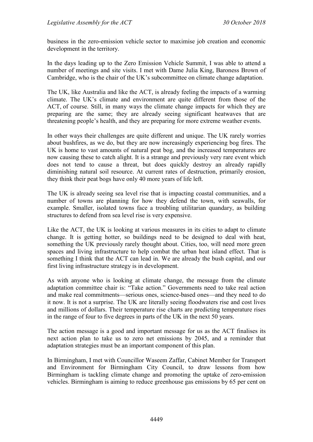business in the zero-emission vehicle sector to maximise job creation and economic development in the territory.

In the days leading up to the Zero Emission Vehicle Summit, I was able to attend a number of meetings and site visits. I met with Dame Julia King, Baroness Brown of Cambridge, who is the chair of the UK's subcommittee on climate change adaptation.

The UK, like Australia and like the ACT, is already feeling the impacts of a warming climate. The UK's climate and environment are quite different from those of the ACT, of course. Still, in many ways the climate change impacts for which they are preparing are the same; they are already seeing significant heatwaves that are threatening people's health, and they are preparing for more extreme weather events.

In other ways their challenges are quite different and unique. The UK rarely worries about bushfires, as we do, but they are now increasingly experiencing bog fires. The UK is home to vast amounts of natural peat bog, and the increased temperatures are now causing these to catch alight. It is a strange and previously very rare event which does not tend to cause a threat, but does quickly destroy an already rapidly diminishing natural soil resource. At current rates of destruction, primarily erosion, they think their peat bogs have only 40 more years of life left.

The UK is already seeing sea level rise that is impacting coastal communities, and a number of towns are planning for how they defend the town, with seawalls, for example. Smaller, isolated towns face a troubling utilitarian quandary, as building structures to defend from sea level rise is very expensive.

Like the ACT, the UK is looking at various measures in its cities to adapt to climate change. It is getting hotter, so buildings need to be designed to deal with heat, something the UK previously rarely thought about. Cities, too, will need more green spaces and living infrastructure to help combat the urban heat island effect. That is something I think that the ACT can lead in. We are already the bush capital, and our first living infrastructure strategy is in development.

As with anyone who is looking at climate change, the message from the climate adaptation committee chair is: "Take action." Governments need to take real action and make real commitments—serious ones, science-based ones—and they need to do it now. It is not a surprise. The UK are literally seeing floodwaters rise and cost lives and millions of dollars. Their temperature rise charts are predicting temperature rises in the range of four to five degrees in parts of the UK in the next 50 years.

The action message is a good and important message for us as the ACT finalises its next action plan to take us to zero net emissions by 2045, and a reminder that adaptation strategies must be an important component of this plan.

In Birmingham, I met with Councillor Waseem Zaffar, Cabinet Member for Transport and Environment for Birmingham City Council, to draw lessons from how Birmingham is tackling climate change and promoting the uptake of zero-emission vehicles. Birmingham is aiming to reduce greenhouse gas emissions by 65 per cent on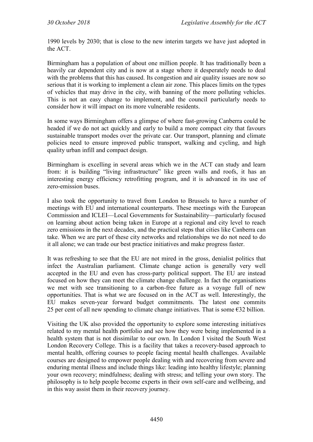1990 levels by 2030; that is close to the new interim targets we have just adopted in the ACT.

Birmingham has a population of about one million people. It has traditionally been a heavily car dependent city and is now at a stage where it desperately needs to deal with the problems that this has caused. Its congestion and air quality issues are now so serious that it is working to implement a clean air zone. This places limits on the types of vehicles that may drive in the city, with banning of the more polluting vehicles. This is not an easy change to implement, and the council particularly needs to consider how it will impact on its more vulnerable residents.

In some ways Birmingham offers a glimpse of where fast-growing Canberra could be headed if we do not act quickly and early to build a more compact city that favours sustainable transport modes over the private car. Our transport, planning and climate policies need to ensure improved public transport, walking and cycling, and high quality urban infill and compact design.

Birmingham is excelling in several areas which we in the ACT can study and learn from: it is building "living infrastructure" like green walls and roofs, it has an interesting energy efficiency retrofitting program, and it is advanced in its use of zero-emission buses.

I also took the opportunity to travel from London to Brussels to have a number of meetings with EU and international counterparts. These meetings with the European Commission and ICLEI—Local Governments for Sustainability—particularly focused on learning about action being taken in Europe at a regional and city level to reach zero emissions in the next decades, and the practical steps that cities like Canberra can take. When we are part of these city networks and relationships we do not need to do it all alone; we can trade our best practice initiatives and make progress faster.

It was refreshing to see that the EU are not mired in the gross, denialist politics that infect the Australian parliament. Climate change action is generally very well accepted in the EU and even has cross-party political support. The EU are instead focused on how they can meet the climate change challenge. In fact the organisations we met with see transitioning to a carbon-free future as a voyage full of new opportunities. That is what we are focused on in the ACT as well. Interestingly, the EU makes seven-year forward budget commitments. The latest one commits 25 per cent of all new spending to climate change initiatives. That is some  $\epsilon$ 32 billion.

Visiting the UK also provided the opportunity to explore some interesting initiatives related to my mental health portfolio and see how they were being implemented in a health system that is not dissimilar to our own. In London I visited the South West London Recovery College. This is a facility that takes a recovery-based approach to mental health, offering courses to people facing mental health challenges. Available courses are designed to empower people dealing with and recovering from severe and enduring mental illness and include things like: leading into healthy lifestyle; planning your own recovery; mindfulness; dealing with stress; and telling your own story. The philosophy is to help people become experts in their own self-care and wellbeing, and in this way assist them in their recovery journey.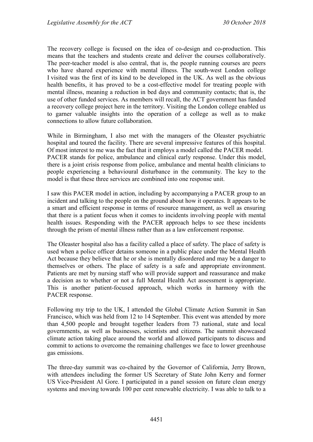The recovery college is focused on the idea of co-design and co-production. This means that the teachers and students create and deliver the courses collaboratively. The peer-teacher model is also central, that is, the people running courses are peers who have shared experience with mental illness. The south-west London college I visited was the first of its kind to be developed in the UK. As well as the obvious health benefits, it has proved to be a cost-effective model for treating people with mental illness, meaning a reduction in bed days and community contacts; that is, the use of other funded services. As members will recall, the ACT government has funded a recovery college project here in the territory. Visiting the London college enabled us to garner valuable insights into the operation of a college as well as to make connections to allow future collaboration.

While in Birmingham, I also met with the managers of the Oleaster psychiatric hospital and toured the facility. There are several impressive features of this hospital. Of most interest to me was the fact that it employs a model called the PACER model. PACER stands for police, ambulance and clinical early response. Under this model, there is a joint crisis response from police, ambulance and mental health clinicians to people experiencing a behavioural disturbance in the community. The key to the model is that these three services are combined into one response unit.

I saw this PACER model in action, including by accompanying a PACER group to an incident and talking to the people on the ground about how it operates. It appears to be a smart and efficient response in terms of resource management, as well as ensuring that there is a patient focus when it comes to incidents involving people with mental health issues. Responding with the PACER approach helps to see these incidents through the prism of mental illness rather than as a law enforcement response.

The Oleaster hospital also has a facility called a place of safety. The place of safety is used when a police officer detains someone in a public place under the Mental Health Act because they believe that he or she is mentally disordered and may be a danger to themselves or others. The place of safety is a safe and appropriate environment. Patients are met by nursing staff who will provide support and reassurance and make a decision as to whether or not a full Mental Health Act assessment is appropriate. This is another patient-focused approach, which works in harmony with the PACER response.

Following my trip to the UK, I attended the Global Climate Action Summit in San Francisco, which was held from 12 to 14 September. This event was attended by more than 4,500 people and brought together leaders from 73 national, state and local governments, as well as businesses, scientists and citizens. The summit showcased climate action taking place around the world and allowed participants to discuss and commit to actions to overcome the remaining challenges we face to lower greenhouse gas emissions.

The three-day summit was co-chaired by the Governor of California, Jerry Brown, with attendees including the former US Secretary of State John Kerry and former US Vice-President Al Gore. I participated in a panel session on future clean energy systems and moving towards 100 per cent renewable electricity. I was able to talk to a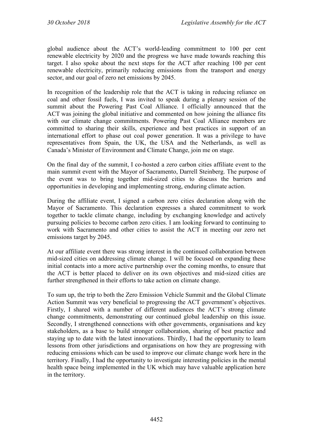global audience about the ACT's world-leading commitment to 100 per cent renewable electricity by 2020 and the progress we have made towards reaching this target. I also spoke about the next steps for the ACT after reaching 100 per cent renewable electricity, primarily reducing emissions from the transport and energy sector, and our goal of zero net emissions by 2045.

In recognition of the leadership role that the ACT is taking in reducing reliance on coal and other fossil fuels, I was invited to speak during a plenary session of the summit about the Powering Past Coal Alliance. I officially announced that the ACT was joining the global initiative and commented on how joining the alliance fits with our climate change commitments. Powering Past Coal Alliance members are committed to sharing their skills, experience and best practices in support of an international effort to phase out coal power generation. It was a privilege to have representatives from Spain, the UK, the USA and the Netherlands, as well as Canada's Minister of Environment and Climate Change, join me on stage.

On the final day of the summit, I co-hosted a zero carbon cities affiliate event to the main summit event with the Mayor of Sacramento, Darrell Steinberg. The purpose of the event was to bring together mid-sized cities to discuss the barriers and opportunities in developing and implementing strong, enduring climate action.

During the affiliate event, I signed a carbon zero cities declaration along with the Mayor of Sacramento. This declaration expresses a shared commitment to work together to tackle climate change, including by exchanging knowledge and actively pursuing policies to become carbon zero cities. I am looking forward to continuing to work with Sacramento and other cities to assist the ACT in meeting our zero net emissions target by 2045.

At our affiliate event there was strong interest in the continued collaboration between mid-sized cities on addressing climate change. I will be focused on expanding these initial contacts into a more active partnership over the coming months, to ensure that the ACT is better placed to deliver on its own objectives and mid-sized cities are further strengthened in their efforts to take action on climate change.

To sum up, the trip to both the Zero Emission Vehicle Summit and the Global Climate Action Summit was very beneficial to progressing the ACT government's objectives. Firstly, I shared with a number of different audiences the ACT's strong climate change commitments, demonstrating our continued global leadership on this issue. Secondly, I strengthened connections with other governments, organisations and key stakeholders, as a base to build stronger collaboration, sharing of best practice and staying up to date with the latest innovations. Thirdly, I had the opportunity to learn lessons from other jurisdictions and organisations on how they are progressing with reducing emissions which can be used to improve our climate change work here in the territory. Finally, I had the opportunity to investigate interesting policies in the mental health space being implemented in the UK which may have valuable application here in the territory.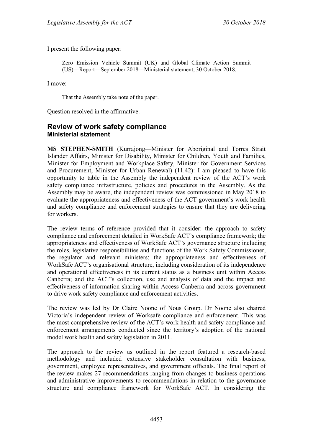I present the following paper:

Zero Emission Vehicle Summit (UK) and Global Climate Action Summit (US)—Report—September 2018—Ministerial statement, 30 October 2018.

I move:

That the Assembly take note of the paper.

Question resolved in the affirmative.

#### <span id="page-32-1"></span><span id="page-32-0"></span>**Review of work safety compliance Ministerial statement**

**MS STEPHEN-SMITH** (Kurrajong—Minister for Aboriginal and Torres Strait Islander Affairs, Minister for Disability, Minister for Children, Youth and Families, Minister for Employment and Workplace Safety, Minister for Government Services and Procurement, Minister for Urban Renewal) (11.42): I am pleased to have this opportunity to table in the Assembly the independent review of the ACT's work safety compliance infrastructure, policies and procedures in the Assembly. As the Assembly may be aware, the independent review was commissioned in May 2018 to evaluate the appropriateness and effectiveness of the ACT government's work health and safety compliance and enforcement strategies to ensure that they are delivering for workers.

The review terms of reference provided that it consider: the approach to safety compliance and enforcement detailed in WorkSafe ACT's compliance framework; the appropriateness and effectiveness of WorkSafe ACT's governance structure including the roles, legislative responsibilities and functions of the Work Safety Commissioner, the regulator and relevant ministers; the appropriateness and effectiveness of WorkSafe ACT's organisational structure, including consideration of its independence and operational effectiveness in its current status as a business unit within Access Canberra; and the ACT's collection, use and analysis of data and the impact and effectiveness of information sharing within Access Canberra and across government to drive work safety compliance and enforcement activities.

The review was led by Dr Claire Noone of Nous Group. Dr Noone also chaired Victoria's independent review of Worksafe compliance and enforcement. This was the most comprehensive review of the ACT's work health and safety compliance and enforcement arrangements conducted since the territory's adoption of the national model work health and safety legislation in 2011.

The approach to the review as outlined in the report featured a research-based methodology and included extensive stakeholder consultation with business, government, employee representatives, and government officials. The final report of the review makes 27 recommendations ranging from changes to business operations and administrative improvements to recommendations in relation to the governance structure and compliance framework for WorkSafe ACT. In considering the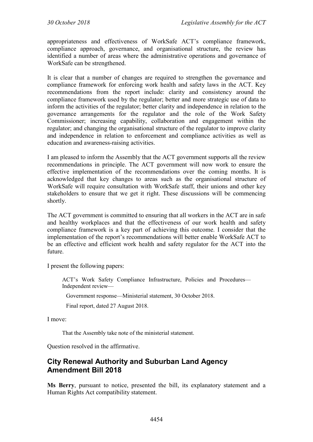appropriateness and effectiveness of WorkSafe ACT's compliance framework, compliance approach, governance, and organisational structure, the review has identified a number of areas where the administrative operations and governance of WorkSafe can be strengthened.

It is clear that a number of changes are required to strengthen the governance and compliance framework for enforcing work health and safety laws in the ACT. Key recommendations from the report include: clarity and consistency around the compliance framework used by the regulator; better and more strategic use of data to inform the activities of the regulator; better clarity and independence in relation to the governance arrangements for the regulator and the role of the Work Safety Commissioner; increasing capability, collaboration and engagement within the regulator; and changing the organisational structure of the regulator to improve clarity and independence in relation to enforcement and compliance activities as well as education and awareness-raising activities.

I am pleased to inform the Assembly that the ACT government supports all the review recommendations in principle. The ACT government will now work to ensure the effective implementation of the recommendations over the coming months. It is acknowledged that key changes to areas such as the organisational structure of WorkSafe will require consultation with WorkSafe staff, their unions and other key stakeholders to ensure that we get it right. These discussions will be commencing shortly.

The ACT government is committed to ensuring that all workers in the ACT are in safe and healthy workplaces and that the effectiveness of our work health and safety compliance framework is a key part of achieving this outcome. I consider that the implementation of the report's recommendations will better enable WorkSafe ACT to be an effective and efficient work health and safety regulator for the ACT into the future.

I present the following papers:

ACT's Work Safety Compliance Infrastructure, Policies and Procedures— Independent review—

Government response—Ministerial statement, 30 October 2018.

Final report, dated 27 August 2018.

I move:

That the Assembly take note of the ministerial statement.

Question resolved in the affirmative.

## <span id="page-33-0"></span>**City Renewal Authority and Suburban Land Agency Amendment Bill 2018**

**Ms Berry**, pursuant to notice, presented the bill, its explanatory statement and a Human Rights Act compatibility statement.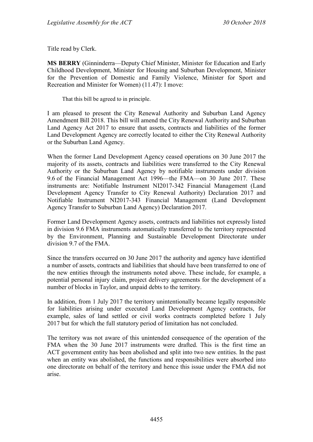Title read by Clerk.

**MS BERRY** (Ginninderra—Deputy Chief Minister, Minister for Education and Early Childhood Development, Minister for Housing and Suburban Development, Minister for the Prevention of Domestic and Family Violence, Minister for Sport and Recreation and Minister for Women) (11.47): I move:

That this bill be agreed to in principle.

I am pleased to present the City Renewal Authority and Suburban Land Agency Amendment Bill 2018. This bill will amend the City Renewal Authority and Suburban Land Agency Act 2017 to ensure that assets, contracts and liabilities of the former Land Development Agency are correctly located to either the City Renewal Authority or the Suburban Land Agency.

When the former Land Development Agency ceased operations on 30 June 2017 the majority of its assets, contracts and liabilities were transferred to the City Renewal Authority or the Suburban Land Agency by notifiable instruments under division 9.6 of the Financial Management Act 1996—the FMA—on 30 June 2017. These instruments are: Notifiable Instrument NI2017-342 Financial Management (Land Development Agency Transfer to City Renewal Authority) Declaration 2017 and Notifiable Instrument NI2017-343 Financial Management (Land Development Agency Transfer to Suburban Land Agency) Declaration 2017.

Former Land Development Agency assets, contracts and liabilities not expressly listed in division 9.6 FMA instruments automatically transferred to the territory represented by the Environment, Planning and Sustainable Development Directorate under division 9.7 of the FMA.

Since the transfers occurred on 30 June 2017 the authority and agency have identified a number of assets, contracts and liabilities that should have been transferred to one of the new entities through the instruments noted above. These include, for example, a potential personal injury claim, project delivery agreements for the development of a number of blocks in Taylor, and unpaid debts to the territory.

In addition, from 1 July 2017 the territory unintentionally became legally responsible for liabilities arising under executed Land Development Agency contracts, for example, sales of land settled or civil works contracts completed before 1 July 2017 but for which the full statutory period of limitation has not concluded.

The territory was not aware of this unintended consequence of the operation of the FMA when the 30 June 2017 instruments were drafted. This is the first time an ACT government entity has been abolished and split into two new entities. In the past when an entity was abolished, the functions and responsibilities were absorbed into one directorate on behalf of the territory and hence this issue under the FMA did not arise.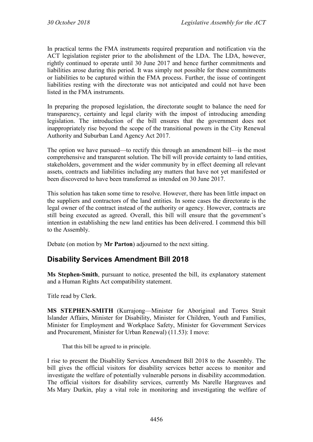In practical terms the FMA instruments required preparation and notification via the ACT legislation register prior to the abolishment of the LDA. The LDA, however, rightly continued to operate until 30 June 2017 and hence further commitments and liabilities arose during this period. It was simply not possible for these commitments or liabilities to be captured within the FMA process. Further, the issue of contingent liabilities resting with the directorate was not anticipated and could not have been listed in the FMA instruments.

In preparing the proposed legislation, the directorate sought to balance the need for transparency, certainty and legal clarity with the impost of introducing amending legislation. The introduction of the bill ensures that the government does not inappropriately rise beyond the scope of the transitional powers in the City Renewal Authority and Suburban Land Agency Act 2017.

The option we have pursued—to rectify this through an amendment bill—is the most comprehensive and transparent solution. The bill will provide certainty to land entities, stakeholders, government and the wider community by in effect deeming all relevant assets, contracts and liabilities including any matters that have not yet manifested or been discovered to have been transferred as intended on 30 June 2017.

This solution has taken some time to resolve. However, there has been little impact on the suppliers and contractors of the land entities. In some cases the directorate is the legal owner of the contract instead of the authority or agency. However, contracts are still being executed as agreed. Overall, this bill will ensure that the government's intention in establishing the new land entities has been delivered. I commend this bill to the Assembly.

Debate (on motion by **Mr Parton**) adjourned to the next sitting.

# <span id="page-35-0"></span>**Disability Services Amendment Bill 2018**

**Ms Stephen-Smith**, pursuant to notice, presented the bill, its explanatory statement and a Human Rights Act compatibility statement.

Title read by Clerk.

**MS STEPHEN-SMITH** (Kurrajong—Minister for Aboriginal and Torres Strait Islander Affairs, Minister for Disability, Minister for Children, Youth and Families, Minister for Employment and Workplace Safety, Minister for Government Services and Procurement, Minister for Urban Renewal) (11.53): I move:

That this bill be agreed to in principle.

I rise to present the Disability Services Amendment Bill 2018 to the Assembly. The bill gives the official visitors for disability services better access to monitor and investigate the welfare of potentially vulnerable persons in disability accommodation. The official visitors for disability services, currently Ms Narelle Hargreaves and Ms Mary Durkin, play a vital role in monitoring and investigating the welfare of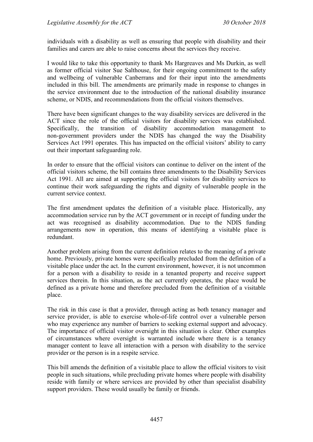individuals with a disability as well as ensuring that people with disability and their families and carers are able to raise concerns about the services they receive.

I would like to take this opportunity to thank Ms Hargreaves and Ms Durkin, as well as former official visitor Sue Salthouse, for their ongoing commitment to the safety and wellbeing of vulnerable Canberrans and for their input into the amendments included in this bill. The amendments are primarily made in response to changes in the service environment due to the introduction of the national disability insurance scheme, or NDIS, and recommendations from the official visitors themselves.

There have been significant changes to the way disability services are delivered in the ACT since the role of the official visitors for disability services was established. Specifically, the transition of disability accommodation management to non-government providers under the NDIS has changed the way the Disability Services Act 1991 operates. This has impacted on the official visitors' ability to carry out their important safeguarding role.

In order to ensure that the official visitors can continue to deliver on the intent of the official visitors scheme, the bill contains three amendments to the Disability Services Act 1991. All are aimed at supporting the official visitors for disability services to continue their work safeguarding the rights and dignity of vulnerable people in the current service context.

The first amendment updates the definition of a visitable place. Historically, any accommodation service run by the ACT government or in receipt of funding under the act was recognised as disability accommodation. Due to the NDIS funding arrangements now in operation, this means of identifying a visitable place is redundant.

Another problem arising from the current definition relates to the meaning of a private home. Previously, private homes were specifically precluded from the definition of a visitable place under the act. In the current environment, however, it is not uncommon for a person with a disability to reside in a tenanted property and receive support services therein. In this situation, as the act currently operates, the place would be defined as a private home and therefore precluded from the definition of a visitable place.

The risk in this case is that a provider, through acting as both tenancy manager and service provider, is able to exercise whole-of-life control over a vulnerable person who may experience any number of barriers to seeking external support and advocacy. The importance of official visitor oversight in this situation is clear. Other examples of circumstances where oversight is warranted include where there is a tenancy manager content to leave all interaction with a person with disability to the service provider or the person is in a respite service.

This bill amends the definition of a visitable place to allow the official visitors to visit people in such situations, while precluding private homes where people with disability reside with family or where services are provided by other than specialist disability support providers. These would usually be family or friends.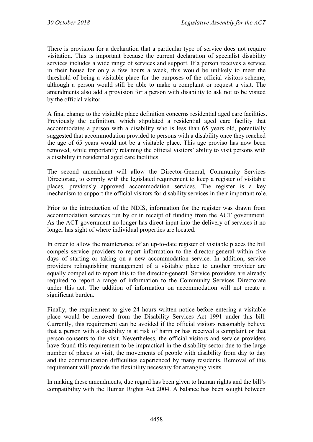There is provision for a declaration that a particular type of service does not require visitation. This is important because the current declaration of specialist disability services includes a wide range of services and support. If a person receives a service in their house for only a few hours a week, this would be unlikely to meet the threshold of being a visitable place for the purposes of the official visitors scheme, although a person would still be able to make a complaint or request a visit. The amendments also add a provision for a person with disability to ask not to be visited by the official visitor.

A final change to the visitable place definition concerns residential aged care facilities. Previously the definition, which stipulated a residential aged care facility that accommodates a person with a disability who is less than 65 years old, potentially suggested that accommodation provided to persons with a disability once they reached the age of 65 years would not be a visitable place. This age proviso has now been removed, while importantly retaining the official visitors' ability to visit persons with a disability in residential aged care facilities.

The second amendment will allow the Director-General, Community Services Directorate, to comply with the legislated requirement to keep a register of visitable places, previously approved accommodation services. The register is a key mechanism to support the official visitors for disability services in their important role.

Prior to the introduction of the NDIS, information for the register was drawn from accommodation services run by or in receipt of funding from the ACT government. As the ACT government no longer has direct input into the delivery of services it no longer has sight of where individual properties are located.

In order to allow the maintenance of an up-to-date register of visitable places the bill compels service providers to report information to the director-general within five days of starting or taking on a new accommodation service. In addition, service providers relinquishing management of a visitable place to another provider are equally compelled to report this to the director-general. Service providers are already required to report a range of information to the Community Services Directorate under this act. The addition of information on accommodation will not create a significant burden.

Finally, the requirement to give 24 hours written notice before entering a visitable place would be removed from the Disability Services Act 1991 under this bill. Currently, this requirement can be avoided if the official visitors reasonably believe that a person with a disability is at risk of harm or has received a complaint or that person consents to the visit. Nevertheless, the official visitors and service providers have found this requirement to be impractical in the disability sector due to the large number of places to visit, the movements of people with disability from day to day and the communication difficulties experienced by many residents. Removal of this requirement will provide the flexibility necessary for arranging visits.

In making these amendments, due regard has been given to human rights and the bill's compatibility with the Human Rights Act 2004. A balance has been sought between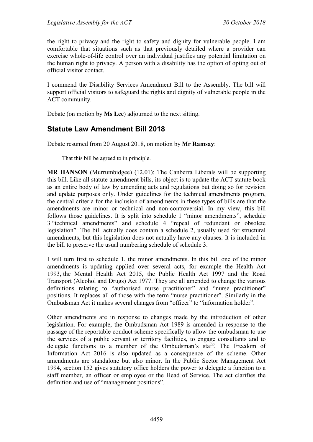the right to privacy and the right to safety and dignity for vulnerable people. I am comfortable that situations such as that previously detailed where a provider can exercise whole-of-life control over an individual justifies any potential limitation on the human right to privacy. A person with a disability has the option of opting out of official visitor contact.

I commend the Disability Services Amendment Bill to the Assembly. The bill will support official visitors to safeguard the rights and dignity of vulnerable people in the ACT community.

Debate (on motion by **Ms Lee**) adjourned to the next sitting.

# **Statute Law Amendment Bill 2018**

Debate resumed from 20 August 2018, on motion by **Mr Ramsay**:

That this bill be agreed to in principle.

**MR HANSON** (Murrumbidgee) (12.01): The Canberra Liberals will be supporting this bill. Like all statute amendment bills, its object is to update the ACT statute book as an entire body of law by amending acts and regulations but doing so for revision and update purposes only. Under guidelines for the technical amendments program, the central criteria for the inclusion of amendments in these types of bills are that the amendments are minor or technical and non-controversial. In my view, this bill follows those guidelines. It is split into schedule 1 "minor amendments", schedule 3 "technical amendments" and schedule 4 "repeal of redundant or obsolete legislation". The bill actually does contain a schedule 2, usually used for structural amendments, but this legislation does not actually have any clauses. It is included in the bill to preserve the usual numbering schedule of schedule 3.

I will turn first to schedule 1, the minor amendments. In this bill one of the minor amendments is updating applied over several acts, for example the Health Act 1993, the Mental Health Act 2015, the Public Health Act 1997 and the Road Transport (Alcohol and Drugs) Act 1977. They are all amended to change the various definitions relating to "authorised nurse practitioner" and "nurse practitioner" positions. It replaces all of those with the term "nurse practitioner". Similarly in the Ombudsman Act it makes several changes from "officer" to "information holder".

Other amendments are in response to changes made by the introduction of other legislation. For example, the Ombudsman Act 1989 is amended in response to the passage of the reportable conduct scheme specifically to allow the ombudsman to use the services of a public servant or territory facilities, to engage consultants and to delegate functions to a member of the Ombudsman's staff. The Freedom of Information Act 2016 is also updated as a consequence of the scheme. Other amendments are standalone but also minor. In the Public Sector Management Act 1994, section 152 gives statutory office holders the power to delegate a function to a staff member, an officer or employee or the Head of Service. The act clarifies the definition and use of "management positions".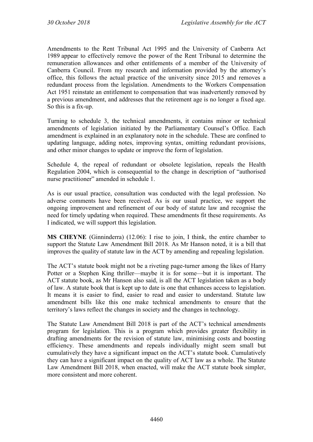Amendments to the Rent Tribunal Act 1995 and the University of Canberra Act 1989 appear to effectively remove the power of the Rent Tribunal to determine the remuneration allowances and other entitlements of a member of the University of Canberra Council. From my research and information provided by the attorney's office, this follows the actual practice of the university since 2015 and removes a redundant process from the legislation. Amendments to the Workers Compensation Act 1951 reinstate an entitlement to compensation that was inadvertently removed by a previous amendment, and addresses that the retirement age is no longer a fixed age. So this is a fix-up.

Turning to schedule 3, the technical amendments, it contains minor or technical amendments of legislation initiated by the Parliamentary Counsel's Office. Each amendment is explained in an explanatory note in the schedule. These are confined to updating language, adding notes, improving syntax, omitting redundant provisions, and other minor changes to update or improve the form of legislation.

Schedule 4, the repeal of redundant or obsolete legislation, repeals the Health Regulation 2004, which is consequential to the change in description of "authorised nurse practitioner" amended in schedule 1.

As is our usual practice, consultation was conducted with the legal profession. No adverse comments have been received. As is our usual practice, we support the ongoing improvement and refinement of our body of statute law and recognise the need for timely updating when required. These amendments fit these requirements. As I indicated, we will support this legislation.

**MS CHEYNE** (Ginninderra) (12.06): I rise to join, I think, the entire chamber to support the Statute Law Amendment Bill 2018. As Mr Hanson noted, it is a bill that improves the quality of statute law in the ACT by amending and repealing legislation.

The ACT's statute book might not be a riveting page-turner among the likes of Harry Potter or a Stephen King thriller—maybe it is for some—but it is important. The ACT statute book, as Mr Hanson also said, is all the ACT legislation taken as a body of law. A statute book that is kept up to date is one that enhances access to legislation. It means it is easier to find, easier to read and easier to understand. Statute law amendment bills like this one make technical amendments to ensure that the territory's laws reflect the changes in society and the changes in technology.

The Statute Law Amendment Bill 2018 is part of the ACT's technical amendments program for legislation. This is a program which provides greater flexibility in drafting amendments for the revision of statute law, minimising costs and boosting efficiency. These amendments and repeals individually might seem small but cumulatively they have a significant impact on the ACT's statute book. Cumulatively they can have a significant impact on the quality of ACT law as a whole. The Statute Law Amendment Bill 2018, when enacted, will make the ACT statute book simpler, more consistent and more coherent.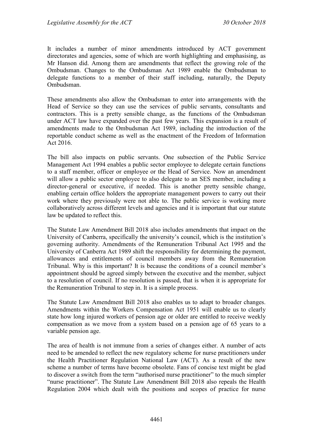It includes a number of minor amendments introduced by ACT government directorates and agencies, some of which are worth highlighting and emphasising, as Mr Hanson did. Among them are amendments that reflect the growing role of the Ombudsman. Changes to the Ombudsman Act 1989 enable the Ombudsman to delegate functions to a member of their staff including, naturally, the Deputy Ombudsman.

These amendments also allow the Ombudsman to enter into arrangements with the Head of Service so they can use the services of public servants, consultants and contractors. This is a pretty sensible change, as the functions of the Ombudsman under ACT law have expanded over the past few years. This expansion is a result of amendments made to the Ombudsman Act 1989, including the introduction of the reportable conduct scheme as well as the enactment of the Freedom of Information Act 2016.

The bill also impacts on public servants. One subsection of the Public Service Management Act 1994 enables a public sector employee to delegate certain functions to a staff member, officer or employee or the Head of Service. Now an amendment will allow a public sector employee to also delegate to an SES member, including a director-general or executive, if needed. This is another pretty sensible change, enabling certain office holders the appropriate management powers to carry out their work where they previously were not able to. The public service is working more collaboratively across different levels and agencies and it is important that our statute law be updated to reflect this.

The Statute Law Amendment Bill 2018 also includes amendments that impact on the University of Canberra, specifically the university's council, which is the institution's governing authority. Amendments of the Remuneration Tribunal Act 1995 and the University of Canberra Act 1989 shift the responsibility for determining the payment, allowances and entitlements of council members away from the Remuneration Tribunal. Why is this important? It is because the conditions of a council member's appointment should be agreed simply between the executive and the member, subject to a resolution of council. If no resolution is passed, that is when it is appropriate for the Remuneration Tribunal to step in. It is a simple process.

The Statute Law Amendment Bill 2018 also enables us to adapt to broader changes. Amendments within the Workers Compensation Act 1951 will enable us to clearly state how long injured workers of pension age or older are entitled to receive weekly compensation as we move from a system based on a pension age of 65 years to a variable pension age.

The area of health is not immune from a series of changes either. A number of acts need to be amended to reflect the new regulatory scheme for nurse practitioners under the Health Practitioner Regulation National Law (ACT). As a result of the new scheme a number of terms have become obsolete. Fans of concise text might be glad to discover a switch from the term "authorised nurse practitioner" to the much simpler "nurse practitioner". The Statute Law Amendment Bill 2018 also repeals the Health Regulation 2004 which dealt with the positions and scopes of practice for nurse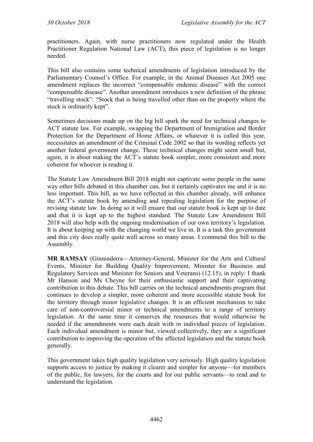practitioners. Again, with nurse practitioners now regulated under the Health Practitioner Regulation National Law (ACT), this piece of legislation is no longer needed.

This bill also contains some technical amendments of legislation introduced by the Parliamentary Counsel's Office. For example, in the Animal Diseases Act 2005 one amendment replaces the incorrect "compensable endemic disease" with the correct "compensable disease". Another amendment introduces a new definition of the phrase "travelling stock": "Stock that is being travelled other than on the property where the stock is ordinarily kept".

Sometimes decisions made up on the big hill spark the need for technical changes to ACT statute law. For example, swapping the Department of Immigration and Border Protection for the Department of Home Affairs, or whatever it is called this year, necessitates an amendment of the Criminal Code 2002 so that its wording reflects yet another federal government change. These technical changes might seem small but, again, it is about making the ACT's statute book simpler, more consistent and more coherent for whoever is reading it.

The Statute Law Amendment Bill 2018 might not captivate some people in the same way other bills debated in this chamber can, but it certainly captivates me and it is no less important. This bill, as we have reflected in this chamber already, will enhance the ACT's statute book by amending and repealing legislation for the purpose of revising statute law. In doing so it will ensure that our statute book is kept up to date and that it is kept up to the highest standard. The Statute Law Amendment Bill 2018 will also help with the ongoing modernisation of our own territory's legislation. It is about keeping up with the changing world we live in. It is a task this government and this city does really quite well across so many areas. I commend this bill to the Assembly.

**MR RAMSAY** (Ginninderra—Attorney-General, Minister for the Arts and Cultural Events, Minister for Building Quality Improvement, Minister for Business and Regulatory Services and Minister for Seniors and Veterans) (12.15), in reply: I thank Mr Hanson and Ms Cheyne for their enthusiastic support and their captivating contribution to this debate. This bill carries on the technical amendments program that continues to develop a simpler, more coherent and more accessible statute book for the territory through minor legislative changes. It is an efficient mechanism to take care of non-controversial minor or technical amendments to a range of territory legislation. At the same time it conserves the resources that would otherwise be needed if the amendments were each dealt with in individual pieces of legislation. Each individual amendment is minor but, viewed collectively, they are a significant contribution to improving the operation of the affected legislation and the statute book generally.

This government takes high quality legislation very seriously. High quality legislation supports access to justice by making it clearer and simpler for anyone—for members of the public, for lawyers, for the courts and for our public servants—to read and to understand the legislation.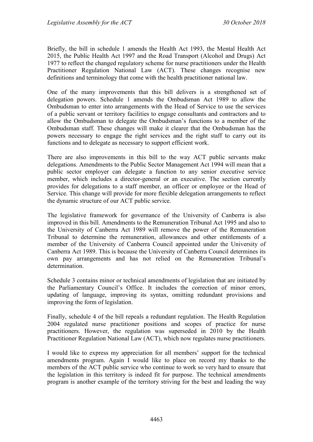Briefly, the bill in schedule 1 amends the Health Act 1993, the Mental Health Act 2015, the Public Health Act 1997 and the Road Transport (Alcohol and Drugs) Act 1977 to reflect the changed regulatory scheme for nurse practitioners under the Health Practitioner Regulation National Law (ACT). These changes recognise new definitions and terminology that come with the health practitioner national law.

One of the many improvements that this bill delivers is a strengthened set of delegation powers. Schedule 1 amends the Ombudsman Act 1989 to allow the Ombudsman to enter into arrangements with the Head of Service to use the services of a public servant or territory facilities to engage consultants and contractors and to allow the Ombudsman to delegate the Ombudsman's functions to a member of the Ombudsman staff. These changes will make it clearer that the Ombudsman has the powers necessary to engage the right services and the right staff to carry out its functions and to delegate as necessary to support efficient work.

There are also improvements in this bill to the way ACT public servants make delegations. Amendments to the Public Sector Management Act 1994 will mean that a public sector employer can delegate a function to any senior executive service member, which includes a director-general or an executive. The section currently provides for delegations to a staff member, an officer or employee or the Head of Service. This change will provide for more flexible delegation arrangements to reflect the dynamic structure of our ACT public service.

The legislative framework for governance of the University of Canberra is also improved in this bill. Amendments to the Remuneration Tribunal Act 1995 and also to the University of Canberra Act 1989 will remove the power of the Remuneration Tribunal to determine the remuneration, allowances and other entitlements of a member of the University of Canberra Council appointed under the University of Canberra Act 1989. This is because the University of Canberra Council determines its own pay arrangements and has not relied on the Remuneration Tribunal's determination.

Schedule 3 contains minor or technical amendments of legislation that are initiated by the Parliamentary Council's Office. It includes the correction of minor errors, updating of language, improving its syntax, omitting redundant provisions and improving the form of legislation.

Finally, schedule 4 of the bill repeals a redundant regulation. The Health Regulation 2004 regulated nurse practitioner positions and scopes of practice for nurse practitioners. However, the regulation was superseded in 2010 by the Health Practitioner Regulation National Law (ACT), which now regulates nurse practitioners.

I would like to express my appreciation for all members' support for the technical amendments program. Again I would like to place on record my thanks to the members of the ACT public service who continue to work so very hard to ensure that the legislation in this territory is indeed fit for purpose. The technical amendments program is another example of the territory striving for the best and leading the way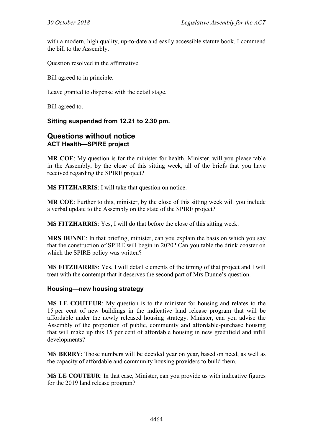with a modern, high quality, up-to-date and easily accessible statute book. I commend the bill to the Assembly.

Question resolved in the affirmative.

Bill agreed to in principle.

Leave granted to dispense with the detail stage.

Bill agreed to.

# **Sitting suspended from 12.21 to 2.30 pm.**

#### **Questions without notice ACT Health—SPIRE project**

**MR COE**: My question is for the minister for health. Minister, will you please table in the Assembly, by the close of this sitting week, all of the briefs that you have received regarding the SPIRE project?

**MS FITZHARRIS**: I will take that question on notice.

**MR COE**: Further to this, minister, by the close of this sitting week will you include a verbal update to the Assembly on the state of the SPIRE project?

**MS FITZHARRIS**: Yes, I will do that before the close of this sitting week.

**MRS DUNNE**: In that briefing, minister, can you explain the basis on which you say that the construction of SPIRE will begin in 2020? Can you table the drink coaster on which the SPIRE policy was written?

**MS FITZHARRIS**: Yes, I will detail elements of the timing of that project and I will treat with the contempt that it deserves the second part of Mrs Dunne's question.

#### **Housing—new housing strategy**

**MS LE COUTEUR**: My question is to the minister for housing and relates to the 15 per cent of new buildings in the indicative land release program that will be affordable under the newly released housing strategy. Minister, can you advise the Assembly of the proportion of public, community and affordable-purchase housing that will make up this 15 per cent of affordable housing in new greenfield and infill developments?

**MS BERRY**: Those numbers will be decided year on year, based on need, as well as the capacity of affordable and community housing providers to build them.

**MS LE COUTEUR**: In that case, Minister, can you provide us with indicative figures for the 2019 land release program?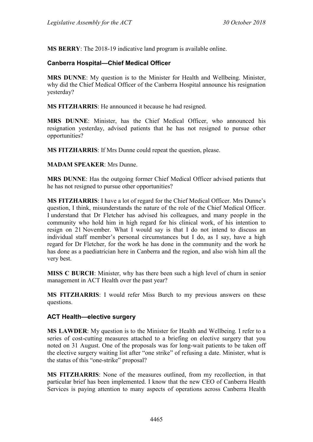**MS BERRY**: The 2018-19 indicative land program is available online.

# **Canberra Hospital—Chief Medical Officer**

**MRS DUNNE**: My question is to the Minister for Health and Wellbeing. Minister, why did the Chief Medical Officer of the Canberra Hospital announce his resignation yesterday?

**MS FITZHARRIS**: He announced it because he had resigned.

**MRS DUNNE**: Minister, has the Chief Medical Officer, who announced his resignation yesterday, advised patients that he has not resigned to pursue other opportunities?

**MS FITZHARRIS**: If Mrs Dunne could repeat the question, please.

**MADAM SPEAKER**: Mrs Dunne.

**MRS DUNNE**: Has the outgoing former Chief Medical Officer advised patients that he has not resigned to pursue other opportunities?

**MS FITZHARRIS**: I have a lot of regard for the Chief Medical Officer. Mrs Dunne's question, I think, misunderstands the nature of the role of the Chief Medical Officer. I understand that Dr Fletcher has advised his colleagues, and many people in the community who hold him in high regard for his clinical work, of his intention to resign on 21 November. What I would say is that I do not intend to discuss an individual staff member's personal circumstances but I do, as I say, have a high regard for Dr Fletcher, for the work he has done in the community and the work he has done as a paediatrician here in Canberra and the region, and also wish him all the very best.

**MISS C BURCH**: Minister, why has there been such a high level of churn in senior management in ACT Health over the past year?

**MS FITZHARRIS**: I would refer Miss Burch to my previous answers on these questions.

# **ACT Health—elective surgery**

**MS LAWDER**: My question is to the Minister for Health and Wellbeing. I refer to a series of cost-cutting measures attached to a briefing on elective surgery that you noted on 31 August. One of the proposals was for long-wait patients to be taken off the elective surgery waiting list after "one strike" of refusing a date. Minister, what is the status of this "one-strike" proposal?

**MS FITZHARRIS**: None of the measures outlined, from my recollection, in that particular brief has been implemented. I know that the new CEO of Canberra Health Services is paying attention to many aspects of operations across Canberra Health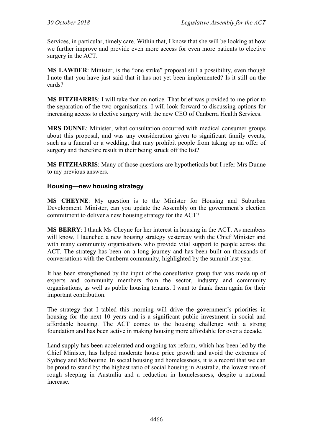Services, in particular, timely care. Within that, I know that she will be looking at how we further improve and provide even more access for even more patients to elective surgery in the ACT.

**MS LAWDER**: Minister, is the "one strike" proposal still a possibility, even though I note that you have just said that it has not yet been implemented? Is it still on the cards?

**MS FITZHARRIS**: I will take that on notice. That brief was provided to me prior to the separation of the two organisations. I will look forward to discussing options for increasing access to elective surgery with the new CEO of Canberra Health Services.

**MRS DUNNE**: Minister, what consultation occurred with medical consumer groups about this proposal, and was any consideration given to significant family events, such as a funeral or a wedding, that may prohibit people from taking up an offer of surgery and therefore result in their being struck off the list?

**MS FITZHARRIS**: Many of those questions are hypotheticals but I refer Mrs Dunne to my previous answers.

#### **Housing—new housing strategy**

**MS CHEYNE**: My question is to the Minister for Housing and Suburban Development. Minister, can you update the Assembly on the government's election commitment to deliver a new housing strategy for the ACT?

**MS BERRY**: I thank Ms Cheyne for her interest in housing in the ACT. As members will know, I launched a new housing strategy yesterday with the Chief Minister and with many community organisations who provide vital support to people across the ACT. The strategy has been on a long journey and has been built on thousands of conversations with the Canberra community, highlighted by the summit last year.

It has been strengthened by the input of the consultative group that was made up of experts and community members from the sector, industry and community organisations, as well as public housing tenants. I want to thank them again for their important contribution.

The strategy that I tabled this morning will drive the government's priorities in housing for the next 10 years and is a significant public investment in social and affordable housing. The ACT comes to the housing challenge with a strong foundation and has been active in making housing more affordable for over a decade.

Land supply has been accelerated and ongoing tax reform, which has been led by the Chief Minister, has helped moderate house price growth and avoid the extremes of Sydney and Melbourne. In social housing and homelessness, it is a record that we can be proud to stand by: the highest ratio of social housing in Australia, the lowest rate of rough sleeping in Australia and a reduction in homelessness, despite a national increase.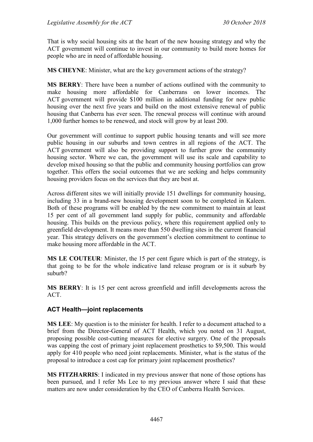That is why social housing sits at the heart of the new housing strategy and why the ACT government will continue to invest in our community to build more homes for people who are in need of affordable housing.

**MS CHEYNE**: Minister, what are the key government actions of the strategy?

**MS BERRY**: There have been a number of actions outlined with the community to make housing more affordable for Canberrans on lower incomes. The ACT government will provide \$100 million in additional funding for new public housing over the next five years and build on the most extensive renewal of public housing that Canberra has ever seen. The renewal process will continue with around 1,000 further homes to be renewed, and stock will grow by at least 200.

Our government will continue to support public housing tenants and will see more public housing in our suburbs and town centres in all regions of the ACT. The ACT government will also be providing support to further grow the community housing sector. Where we can, the government will use its scale and capability to develop mixed housing so that the public and community housing portfolios can grow together. This offers the social outcomes that we are seeking and helps community housing providers focus on the services that they are best at.

Across different sites we will initially provide 151 dwellings for community housing, including 33 in a brand-new housing development soon to be completed in Kaleen. Both of these programs will be enabled by the new commitment to maintain at least 15 per cent of all government land supply for public, community and affordable housing. This builds on the previous policy, where this requirement applied only to greenfield development. It means more than 550 dwelling sites in the current financial year. This strategy delivers on the government's election commitment to continue to make housing more affordable in the ACT.

**MS LE COUTEUR**: Minister, the 15 per cent figure which is part of the strategy, is that going to be for the whole indicative land release program or is it suburb by suburb?

**MS BERRY**: It is 15 per cent across greenfield and infill developments across the ACT.

# **ACT Health—joint replacements**

**MS LEE**: My question is to the minister for health. I refer to a document attached to a brief from the Director-General of ACT Health, which you noted on 31 August, proposing possible cost-cutting measures for elective surgery. One of the proposals was capping the cost of primary joint replacement prosthetics to \$9,500. This would apply for 410 people who need joint replacements. Minister, what is the status of the proposal to introduce a cost cap for primary joint replacement prosthetics?

**MS FITZHARRIS**: I indicated in my previous answer that none of those options has been pursued, and I refer Ms Lee to my previous answer where I said that these matters are now under consideration by the CEO of Canberra Health Services.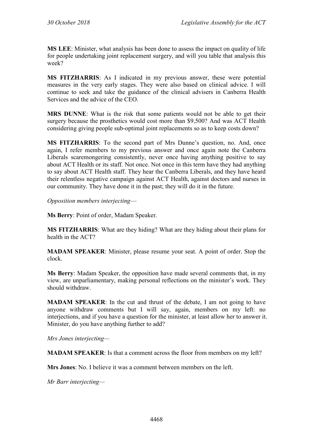**MS LEE**: Minister, what analysis has been done to assess the impact on quality of life for people undertaking joint replacement surgery, and will you table that analysis this week?

**MS FITZHARRIS**: As I indicated in my previous answer, these were potential measures in the very early stages. They were also based on clinical advice. I will continue to seek and take the guidance of the clinical advisers in Canberra Health Services and the advice of the CEO.

**MRS DUNNE**: What is the risk that some patients would not be able to get their surgery because the prosthetics would cost more than \$9,500? And was ACT Health considering giving people sub-optimal joint replacements so as to keep costs down?

**MS FITZHARRIS**: To the second part of Mrs Dunne's question, no. And, once again, I refer members to my previous answer and once again note the Canberra Liberals scaremongering consistently, never once having anything positive to say about ACT Health or its staff. Not once. Not once in this term have they had anything to say about ACT Health staff. They hear the Canberra Liberals, and they have heard their relentless negative campaign against ACT Health, against doctors and nurses in our community. They have done it in the past; they will do it in the future.

*Opposition members interjecting*—

**Ms Berry**: Point of order, Madam Speaker.

**MS FITZHARRIS**: What are they hiding? What are they hiding about their plans for health in the ACT?

**MADAM SPEAKER**: Minister, please resume your seat. A point of order. Stop the clock.

**Ms Berry**: Madam Speaker, the opposition have made several comments that, in my view, are unparliamentary, making personal reflections on the minister's work. They should withdraw.

**MADAM SPEAKER**: In the cut and thrust of the debate, I am not going to have anyone withdraw comments but I will say, again, members on my left: no interjections, and if you have a question for the minister, at least allow her to answer it. Minister, do you have anything further to add?

*Mrs Jones interjecting—*

**MADAM SPEAKER**: Is that a comment across the floor from members on my left?

**Mrs Jones**: No. I believe it was a comment between members on the left.

*Mr Barr interjecting—*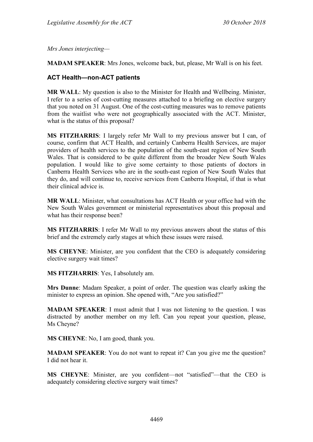*Mrs Jones interjecting—*

**MADAM SPEAKER**: Mrs Jones, welcome back, but, please, Mr Wall is on his feet.

#### **ACT Health—non-ACT patients**

**MR WALL**: My question is also to the Minister for Health and Wellbeing. Minister, I refer to a series of cost-cutting measures attached to a briefing on elective surgery that you noted on 31 August. One of the cost-cutting measures was to remove patients from the waitlist who were not geographically associated with the ACT. Minister, what is the status of this proposal?

**MS FITZHARRIS**: I largely refer Mr Wall to my previous answer but I can, of course, confirm that ACT Health, and certainly Canberra Health Services, are major providers of health services to the population of the south-east region of New South Wales. That is considered to be quite different from the broader New South Wales population. I would like to give some certainty to those patients of doctors in Canberra Health Services who are in the south-east region of New South Wales that they do, and will continue to, receive services from Canberra Hospital, if that is what their clinical advice is.

**MR WALL**: Minister, what consultations has ACT Health or your office had with the New South Wales government or ministerial representatives about this proposal and what has their response been?

**MS FITZHARRIS**: I refer Mr Wall to my previous answers about the status of this brief and the extremely early stages at which these issues were raised.

**MS CHEYNE**: Minister, are you confident that the CEO is adequately considering elective surgery wait times?

**MS FITZHARRIS**: Yes, I absolutely am.

**Mrs Dunne**: Madam Speaker, a point of order. The question was clearly asking the minister to express an opinion. She opened with, "Are you satisfied?"

**MADAM SPEAKER**: I must admit that I was not listening to the question. I was distracted by another member on my left. Can you repeat your question, please, Ms Cheyne?

**MS CHEYNE**: No, I am good, thank you.

**MADAM SPEAKER**: You do not want to repeat it? Can you give me the question? I did not hear it.

**MS CHEYNE**: Minister, are you confident—not "satisfied"—that the CEO is adequately considering elective surgery wait times?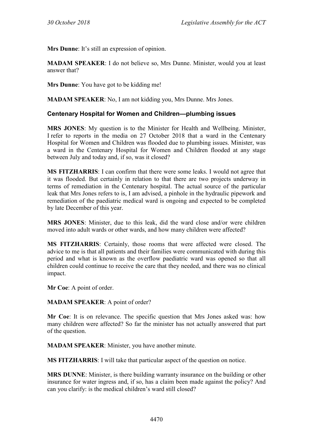**Mrs Dunne**: It's still an expression of opinion.

**MADAM SPEAKER**: I do not believe so, Mrs Dunne. Minister, would you at least answer that?

**Mrs Dunne**: You have got to be kidding me!

**MADAM SPEAKER**: No, I am not kidding you, Mrs Dunne. Mrs Jones.

#### **Centenary Hospital for Women and Children—plumbing issues**

**MRS JONES**: My question is to the Minister for Health and Wellbeing. Minister, I refer to reports in the media on 27 October 2018 that a ward in the Centenary Hospital for Women and Children was flooded due to plumbing issues. Minister, was a ward in the Centenary Hospital for Women and Children flooded at any stage between July and today and, if so, was it closed?

**MS FITZHARRIS**: I can confirm that there were some leaks. I would not agree that it was flooded. But certainly in relation to that there are two projects underway in terms of remediation in the Centenary hospital. The actual source of the particular leak that Mrs Jones refers to is, I am advised, a pinhole in the hydraulic pipework and remediation of the paediatric medical ward is ongoing and expected to be completed by late December of this year.

**MRS JONES**: Minister, due to this leak, did the ward close and/or were children moved into adult wards or other wards, and how many children were affected?

**MS FITZHARRIS**: Certainly, those rooms that were affected were closed. The advice to me is that all patients and their families were communicated with during this period and what is known as the overflow paediatric ward was opened so that all children could continue to receive the care that they needed, and there was no clinical impact.

**Mr Coe**: A point of order.

**MADAM SPEAKER**: A point of order?

**Mr Coe**: It is on relevance. The specific question that Mrs Jones asked was: how many children were affected? So far the minister has not actually answered that part of the question.

**MADAM SPEAKER**: Minister, you have another minute.

**MS FITZHARRIS**: I will take that particular aspect of the question on notice.

**MRS DUNNE**: Minister, is there building warranty insurance on the building or other insurance for water ingress and, if so, has a claim been made against the policy? And can you clarify: is the medical children's ward still closed?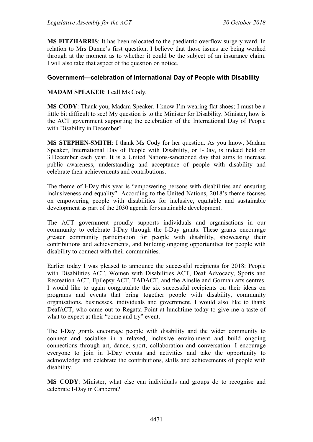**MS FITZHARRIS**: It has been relocated to the paediatric overflow surgery ward. In relation to Mrs Dunne's first question, I believe that those issues are being worked through at the moment as to whether it could be the subject of an insurance claim. I will also take that aspect of the question on notice.

#### **Government—celebration of International Day of People with Disability**

#### **MADAM SPEAKER**: I call Ms Cody.

**MS CODY**: Thank you, Madam Speaker. I know I'm wearing flat shoes; I must be a little bit difficult to see! My question is to the Minister for Disability. Minister, how is the ACT government supporting the celebration of the International Day of People with Disability in December?

**MS STEPHEN-SMITH**: I thank Ms Cody for her question. As you know, Madam Speaker, International Day of People with Disability, or I-Day, is indeed held on 3 December each year. It is a United Nations-sanctioned day that aims to increase public awareness, understanding and acceptance of people with disability and celebrate their achievements and contributions.

The theme of I-Day this year is "empowering persons with disabilities and ensuring inclusiveness and equality". According to the United Nations, 2018's theme focuses on empowering people with disabilities for inclusive, equitable and sustainable development as part of the 2030 agenda for sustainable development.

The ACT government proudly supports individuals and organisations in our community to celebrate I-Day through the I-Day grants. These grants encourage greater community participation for people with disability, showcasing their contributions and achievements, and building ongoing opportunities for people with disability to connect with their communities.

Earlier today I was pleased to announce the successful recipients for 2018: People with Disabilities ACT, Women with Disabilities ACT, Deaf Advocacy, Sports and Recreation ACT, Epilepsy ACT, TADACT, and the Ainslie and Gorman arts centres. I would like to again congratulate the six successful recipients on their ideas on programs and events that bring together people with disability, community organisations, businesses, individuals and government. I would also like to thank DeafACT, who came out to Regatta Point at lunchtime today to give me a taste of what to expect at their "come and try" event.

The I-Day grants encourage people with disability and the wider community to connect and socialise in a relaxed, inclusive environment and build ongoing connections through art, dance, sport, collaboration and conversation. I encourage everyone to join in I-Day events and activities and take the opportunity to acknowledge and celebrate the contributions, skills and achievements of people with disability.

**MS CODY**: Minister, what else can individuals and groups do to recognise and celebrate I-Day in Canberra?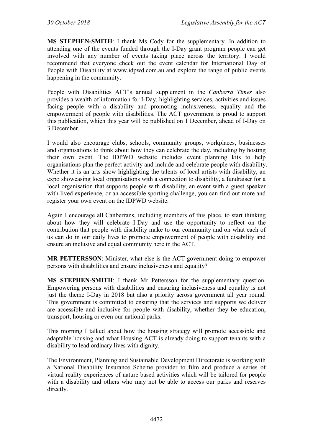**MS STEPHEN-SMITH**: I thank Ms Cody for the supplementary. In addition to attending one of the events funded through the I-Day grant program people can get involved with any number of events taking place across the territory. I would recommend that everyone check out the event calendar for International Day of People with Disability at www.idpwd.com.au and explore the range of public events happening in the community.

People with Disabilities ACT's annual supplement in the *Canberra Times* also provides a wealth of information for I-Day, highlighting services, activities and issues facing people with a disability and promoting inclusiveness, equality and the empowerment of people with disabilities. The ACT government is proud to support this publication, which this year will be published on 1 December, ahead of I-Day on 3 December.

I would also encourage clubs, schools, community groups, workplaces, businesses and organisations to think about how they can celebrate the day, including by hosting their own event. The IDPWD website includes event planning kits to help organisations plan the perfect activity and include and celebrate people with disability. Whether it is an arts show highlighting the talents of local artists with disability, an expo showcasing local organisations with a connection to disability, a fundraiser for a local organisation that supports people with disability, an event with a guest speaker with lived experience, or an accessible sporting challenge, you can find out more and register your own event on the IDPWD website.

Again I encourage all Canberrans, including members of this place, to start thinking about how they will celebrate I-Day and use the opportunity to reflect on the contribution that people with disability make to our community and on what each of us can do in our daily lives to promote empowerment of people with disability and ensure an inclusive and equal community here in the ACT.

**MR PETTERSSON**: Minister, what else is the ACT government doing to empower persons with disabilities and ensure inclusiveness and equality?

**MS STEPHEN-SMITH**: I thank Mr Pettersson for the supplementary question. Empowering persons with disabilities and ensuring inclusiveness and equality is not just the theme I-Day in 2018 but also a priority across government all year round. This government is committed to ensuring that the services and supports we deliver are accessible and inclusive for people with disability, whether they be education, transport, housing or even our national parks.

This morning I talked about how the housing strategy will promote accessible and adaptable housing and what Housing ACT is already doing to support tenants with a disability to lead ordinary lives with dignity.

The Environment, Planning and Sustainable Development Directorate is working with a National Disability Insurance Scheme provider to film and produce a series of virtual reality experiences of nature based activities which will be tailored for people with a disability and others who may not be able to access our parks and reserves directly.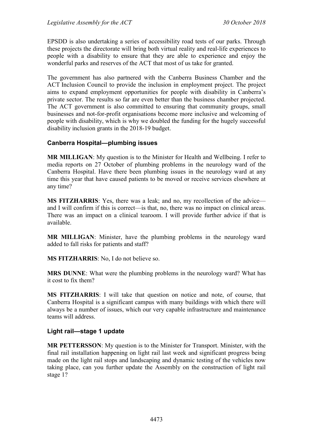EPSDD is also undertaking a series of accessibility road tests of our parks. Through these projects the directorate will bring both virtual reality and real-life experiences to people with a disability to ensure that they are able to experience and enjoy the wonderful parks and reserves of the ACT that most of us take for granted.

The government has also partnered with the Canberra Business Chamber and the ACT Inclusion Council to provide the inclusion in employment project. The project aims to expand employment opportunities for people with disability in Canberra's private sector. The results so far are even better than the business chamber projected. The ACT government is also committed to ensuring that community groups, small businesses and not-for-profit organisations become more inclusive and welcoming of people with disability, which is why we doubled the funding for the hugely successful disability inclusion grants in the 2018-19 budget.

#### **Canberra Hospital—plumbing issues**

**MR MILLIGAN**: My question is to the Minister for Health and Wellbeing. I refer to media reports on 27 October of plumbing problems in the neurology ward of the Canberra Hospital. Have there been plumbing issues in the neurology ward at any time this year that have caused patients to be moved or receive services elsewhere at any time?

**MS FITZHARRIS**: Yes, there was a leak; and no, my recollection of the advice and I will confirm if this is correct—is that, no, there was no impact on clinical areas. There was an impact on a clinical tearoom. I will provide further advice if that is available.

**MR MILLIGAN**: Minister, have the plumbing problems in the neurology ward added to fall risks for patients and staff?

**MS FITZHARRIS**: No, I do not believe so.

**MRS DUNNE**: What were the plumbing problems in the neurology ward? What has it cost to fix them?

**MS FITZHARRIS**: I will take that question on notice and note, of course, that Canberra Hospital is a significant campus with many buildings with which there will always be a number of issues, which our very capable infrastructure and maintenance teams will address.

#### **Light rail—stage 1 update**

**MR PETTERSSON**: My question is to the Minister for Transport. Minister, with the final rail installation happening on light rail last week and significant progress being made on the light rail stops and landscaping and dynamic testing of the vehicles now taking place, can you further update the Assembly on the construction of light rail stage 1?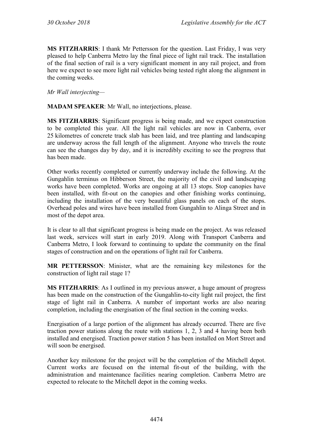**MS FITZHARRIS**: I thank Mr Pettersson for the question. Last Friday, I was very pleased to help Canberra Metro lay the final piece of light rail track. The installation of the final section of rail is a very significant moment in any rail project, and from here we expect to see more light rail vehicles being tested right along the alignment in the coming weeks.

*Mr Wall interjecting—*

**MADAM SPEAKER**: Mr Wall, no interjections, please.

**MS FITZHARRIS**: Significant progress is being made, and we expect construction to be completed this year. All the light rail vehicles are now in Canberra, over 25 kilometres of concrete track slab has been laid, and tree planting and landscaping are underway across the full length of the alignment. Anyone who travels the route can see the changes day by day, and it is incredibly exciting to see the progress that has been made.

Other works recently completed or currently underway include the following. At the Gungahlin terminus on Hibberson Street, the majority of the civil and landscaping works have been completed. Works are ongoing at all 13 stops. Stop canopies have been installed, with fit-out on the canopies and other finishing works continuing, including the installation of the very beautiful glass panels on each of the stops. Overhead poles and wires have been installed from Gungahlin to Alinga Street and in most of the depot area.

It is clear to all that significant progress is being made on the project. As was released last week, services will start in early 2019. Along with Transport Canberra and Canberra Metro, I look forward to continuing to update the community on the final stages of construction and on the operations of light rail for Canberra.

**MR PETTERSSON**: Minister, what are the remaining key milestones for the construction of light rail stage 1?

**MS FITZHARRIS**: As I outlined in my previous answer, a huge amount of progress has been made on the construction of the Gungahlin-to-city light rail project, the first stage of light rail in Canberra. A number of important works are also nearing completion, including the energisation of the final section in the coming weeks.

Energisation of a large portion of the alignment has already occurred. There are five traction power stations along the route with stations 1, 2, 3 and 4 having been both installed and energised. Traction power station 5 has been installed on Mort Street and will soon be energised.

Another key milestone for the project will be the completion of the Mitchell depot. Current works are focused on the internal fit-out of the building, with the administration and maintenance facilities nearing completion. Canberra Metro are expected to relocate to the Mitchell depot in the coming weeks.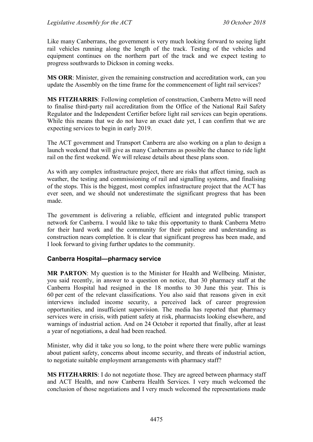Like many Canberrans, the government is very much looking forward to seeing light rail vehicles running along the length of the track. Testing of the vehicles and equipment continues on the northern part of the track and we expect testing to progress southwards to Dickson in coming weeks.

**MS ORR**: Minister, given the remaining construction and accreditation work, can you update the Assembly on the time frame for the commencement of light rail services?

**MS FITZHARRIS**: Following completion of construction, Canberra Metro will need to finalise third-party rail accreditation from the Office of the National Rail Safety Regulator and the Independent Certifier before light rail services can begin operations. While this means that we do not have an exact date yet, I can confirm that we are expecting services to begin in early 2019.

The ACT government and Transport Canberra are also working on a plan to design a launch weekend that will give as many Canberrans as possible the chance to ride light rail on the first weekend. We will release details about these plans soon.

As with any complex infrastructure project, there are risks that affect timing, such as weather, the testing and commissioning of rail and signalling systems, and finalising of the stops. This is the biggest, most complex infrastructure project that the ACT has ever seen, and we should not underestimate the significant progress that has been made.

The government is delivering a reliable, efficient and integrated public transport network for Canberra. I would like to take this opportunity to thank Canberra Metro for their hard work and the community for their patience and understanding as construction nears completion. It is clear that significant progress has been made, and I look forward to giving further updates to the community.

#### **Canberra Hospital—pharmacy service**

**MR PARTON**: My question is to the Minister for Health and Wellbeing. Minister, you said recently, in answer to a question on notice, that 30 pharmacy staff at the Canberra Hospital had resigned in the 18 months to 30 June this year. This is 60 per cent of the relevant classifications. You also said that reasons given in exit interviews included income security, a perceived lack of career progression opportunities, and insufficient supervision. The media has reported that pharmacy services were in crisis, with patient safety at risk, pharmacists looking elsewhere, and warnings of industrial action. And on 24 October it reported that finally, after at least a year of negotiations, a deal had been reached.

Minister, why did it take you so long, to the point where there were public warnings about patient safety, concerns about income security, and threats of industrial action, to negotiate suitable employment arrangements with pharmacy staff?

**MS FITZHARRIS**: I do not negotiate those. They are agreed between pharmacy staff and ACT Health, and now Canberra Health Services. I very much welcomed the conclusion of those negotiations and I very much welcomed the representations made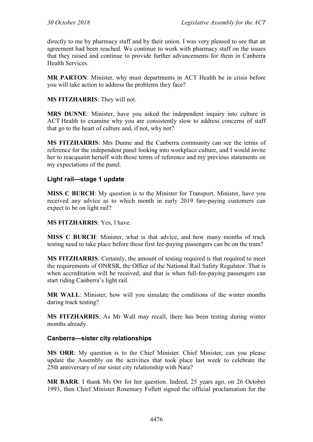directly to me by pharmacy staff and by their union. I was very pleased to see that an agreement had been reached. We continue to work with pharmacy staff on the issues that they raised and continue to provide further advancements for them in Canberra Health Services.

**MR PARTON**: Minister, why must departments in ACT Health be in crisis before you will take action to address the problems they face?

#### **MS FITZHARRIS**: They will not.

**MRS DUNNE**: Minister, have you asked the independent inquiry into culture in ACT Health to examine why you are consistently slow to address concerns of staff that go to the heart of culture and, if not, why not?

**MS FITZHARRIS**: Mrs Dunne and the Canberra community can see the terms of reference for the independent panel looking into workplace culture, and I would invite her to reacquaint herself with those terms of reference and my previous statements on my expectations of the panel.

# **Light rail—stage 1 update**

**MISS C BURCH:** My question is to the Minister for Transport. Minister, have you received any advice as to which month in early 2019 fare-paying customers can expect to be on light rail?

#### **MS FITZHARRIS**: Yes, I have.

**MISS C BURCH**: Minister, what is that advice, and how many months of track testing need to take place before these first fee-paying passengers can be on the tram?

**MS FITZHARRIS**: Certainly, the amount of testing required is that required to meet the requirements of ONRSR, the Office of the National Rail Safety Regulator. That is when accreditation will be received, and that is when full-fee-paying passengers can start riding Canberra's light rail.

**MR WALL**: Minister, how will you simulate the conditions of the winter months during track testing?

**MS FITZHARRIS**: As Mr Wall may recall, there has been testing during winter months already.

#### **Canberra—sister city relationships**

**MS ORR**: My question is to the Chief Minister. Chief Minister, can you please update the Assembly on the activities that took place last week to celebrate the 25th anniversary of our sister city relationship with Nara?

**MR BARR**: I thank Ms Orr for her question. Indeed, 25 years ago, on 26 October 1993, then Chief Minister Rosemary Follett signed the official proclamation for the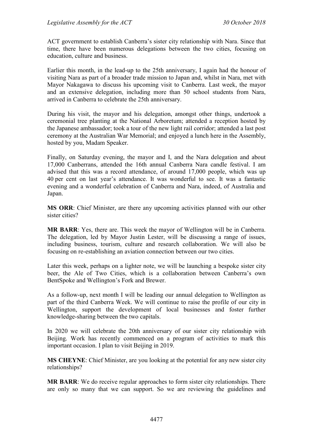ACT government to establish Canberra's sister city relationship with Nara. Since that time, there have been numerous delegations between the two cities, focusing on education, culture and business.

Earlier this month, in the lead-up to the 25th anniversary, I again had the honour of visiting Nara as part of a broader trade mission to Japan and, whilst in Nara, met with Mayor Nakagawa to discuss his upcoming visit to Canberra. Last week, the mayor and an extensive delegation, including more than 50 school students from Nara, arrived in Canberra to celebrate the 25th anniversary.

During his visit, the mayor and his delegation, amongst other things, undertook a ceremonial tree planting at the National Arboretum; attended a reception hosted by the Japanese ambassador; took a tour of the new light rail corridor; attended a last post ceremony at the Australian War Memorial; and enjoyed a lunch here in the Assembly, hosted by you, Madam Speaker.

Finally, on Saturday evening, the mayor and I, and the Nara delegation and about 17,000 Canberrans, attended the 16th annual Canberra Nara candle festival. I am advised that this was a record attendance, of around 17,000 people, which was up 40 per cent on last year's attendance. It was wonderful to see. It was a fantastic evening and a wonderful celebration of Canberra and Nara, indeed, of Australia and Japan.

**MS ORR**: Chief Minister, are there any upcoming activities planned with our other sister cities?

**MR BARR**: Yes, there are. This week the mayor of Wellington will be in Canberra. The delegation, led by Mayor Justin Lester, will be discussing a range of issues, including business, tourism, culture and research collaboration. We will also be focusing on re-establishing an aviation connection between our two cities.

Later this week, perhaps on a lighter note, we will be launching a bespoke sister city beer, the Ale of Two Cities, which is a collaboration between Canberra's own BentSpoke and Wellington's Fork and Brewer.

As a follow-up, next month I will be leading our annual delegation to Wellington as part of the third Canberra Week. We will continue to raise the profile of our city in Wellington, support the development of local businesses and foster further knowledge-sharing between the two capitals.

In 2020 we will celebrate the 20th anniversary of our sister city relationship with Beijing. Work has recently commenced on a program of activities to mark this important occasion. I plan to visit Beijing in 2019.

**MS CHEYNE**: Chief Minister, are you looking at the potential for any new sister city relationships?

**MR BARR**: We do receive regular approaches to form sister city relationships. There are only so many that we can support. So we are reviewing the guidelines and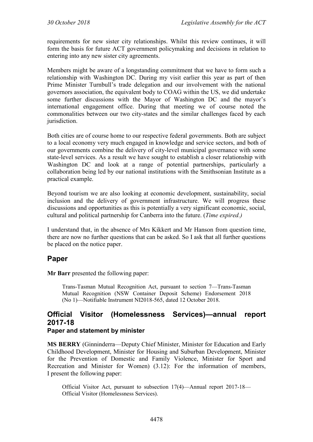requirements for new sister city relationships. Whilst this review continues, it will form the basis for future ACT government policymaking and decisions in relation to entering into any new sister city agreements.

Members might be aware of a longstanding commitment that we have to form such a relationship with Washington DC. During my visit earlier this year as part of then Prime Minister Turnbull's trade delegation and our involvement with the national governors association, the equivalent body to COAG within the US, we did undertake some further discussions with the Mayor of Washington DC and the mayor's international engagement office. During that meeting we of course noted the commonalities between our two city-states and the similar challenges faced by each jurisdiction.

Both cities are of course home to our respective federal governments. Both are subject to a local economy very much engaged in knowledge and service sectors, and both of our governments combine the delivery of city-level municipal governance with some state-level services. As a result we have sought to establish a closer relationship with Washington DC and look at a range of potential partnerships, particularly a collaboration being led by our national institutions with the Smithsonian Institute as a practical example.

Beyond tourism we are also looking at economic development, sustainability, social inclusion and the delivery of government infrastructure. We will progress these discussions and opportunities as this is potentially a very significant economic, social, cultural and political partnership for Canberra into the future. (*Time expired.)*

I understand that, in the absence of Mrs Kikkert and Mr Hanson from question time, there are now no further questions that can be asked. So I ask that all further questions be placed on the notice paper.

# **Paper**

**Mr Barr** presented the following paper:

Trans-Tasman Mutual Recognition Act, pursuant to section 7—Trans-Tasman Mutual Recognition (NSW Container Deposit Scheme) Endorsement 2018 (No 1)—Notifiable Instrument NI2018-565, dated 12 October 2018.

# **Official Visitor (Homelessness Services)—annual report 2017-18**

# **Paper and statement by minister**

**MS BERRY** (Ginninderra—Deputy Chief Minister, Minister for Education and Early Childhood Development, Minister for Housing and Suburban Development, Minister for the Prevention of Domestic and Family Violence, Minister for Sport and Recreation and Minister for Women) (3.12): For the information of members, I present the following paper:

Official Visitor Act, pursuant to subsection 17(4)—Annual report 2017-18— Official Visitor (Homelessness Services).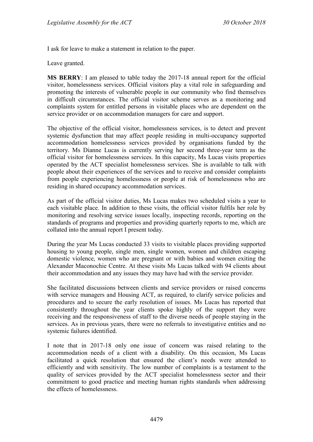I ask for leave to make a statement in relation to the paper.

Leave granted.

**MS BERRY**: I am pleased to table today the 2017-18 annual report for the official visitor, homelessness services. Official visitors play a vital role in safeguarding and promoting the interests of vulnerable people in our community who find themselves in difficult circumstances. The official visitor scheme serves as a monitoring and complaints system for entitled persons in visitable places who are dependent on the service provider or on accommodation managers for care and support.

The objective of the official visitor, homelessness services, is to detect and prevent systemic dysfunction that may affect people residing in multi-occupancy supported accommodation homelessness services provided by organisations funded by the territory. Ms Dianne Lucas is currently serving her second three-year term as the official visitor for homelessness services. In this capacity, Ms Lucas visits properties operated by the ACT specialist homelessness services. She is available to talk with people about their experiences of the services and to receive and consider complaints from people experiencing homelessness or people at risk of homelessness who are residing in shared occupancy accommodation services.

As part of the official visitor duties, Ms Lucas makes two scheduled visits a year to each visitable place. In addition to these visits, the official visitor fulfils her role by monitoring and resolving service issues locally, inspecting records, reporting on the standards of programs and properties and providing quarterly reports to me, which are collated into the annual report I present today.

During the year Ms Lucas conducted 33 visits to visitable places providing supported housing to young people, single men, single women, women and children escaping domestic violence, women who are pregnant or with babies and women exiting the Alexander Maconochie Centre. At these visits Ms Lucas talked with 94 clients about their accommodation and any issues they may have had with the service provider.

She facilitated discussions between clients and service providers or raised concerns with service managers and Housing ACT, as required, to clarify service policies and procedures and to secure the early resolution of issues. Ms Lucas has reported that consistently throughout the year clients spoke highly of the support they were receiving and the responsiveness of staff to the diverse needs of people staying in the services. As in previous years, there were no referrals to investigative entities and no systemic failures identified.

I note that in 2017-18 only one issue of concern was raised relating to the accommodation needs of a client with a disability. On this occasion, Ms Lucas facilitated a quick resolution that ensured the client's needs were attended to efficiently and with sensitivity. The low number of complaints is a testament to the quality of services provided by the ACT specialist homelessness sector and their commitment to good practice and meeting human rights standards when addressing the effects of homelessness.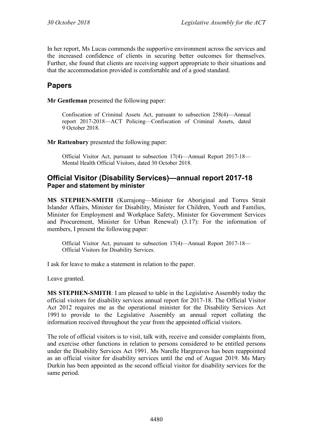In her report, Ms Lucas commends the supportive environment across the services and the increased confidence of clients in securing better outcomes for themselves. Further, she found that clients are receiving support appropriate to their situations and that the accommodation provided is comfortable and of a good standard.

# **Papers**

**Mr Gentleman** presented the following paper:

Confiscation of Criminal Assets Act, pursuant to subsection 258(4)—Annual report 2017-2018—ACT Policing—Confiscation of Criminal Assets, dated 9 October 2018.

**Mr Rattenbury** presented the following paper:

Official Visitor Act, pursuant to subsection 17(4)—Annual Report 2017-18— Mental Health Official Visitors, dated 30 October 2018.

# **Official Visitor (Disability Services)—annual report 2017-18 Paper and statement by minister**

**MS STEPHEN-SMITH** (Kurrajong—Minister for Aboriginal and Torres Strait Islander Affairs, Minister for Disability, Minister for Children, Youth and Families, Minister for Employment and Workplace Safety, Minister for Government Services and Procurement, Minister for Urban Renewal) (3.17): For the information of members, I present the following paper:

Official Visitor Act, pursuant to subsection 17(4)—Annual Report 2017-18— Official Visitors for Disability Services.

I ask for leave to make a statement in relation to the paper.

Leave granted.

**MS STEPHEN-SMITH**: I am pleased to table in the Legislative Assembly today the official visitors for disability services annual report for 2017-18. The Official Visitor Act 2012 requires me as the operational minister for the Disability Services Act 1991 to provide to the Legislative Assembly an annual report collating the information received throughout the year from the appointed official visitors.

The role of official visitors is to visit, talk with, receive and consider complaints from, and exercise other functions in relation to persons considered to be entitled persons under the Disability Services Act 1991. Ms Narelle Hargreaves has been reappointed as an official visitor for disability services until the end of August 2019. Ms Mary Durkin has been appointed as the second official visitor for disability services for the same period.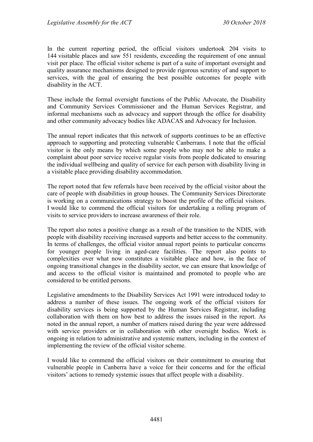In the current reporting period, the official visitors undertook 204 visits to 144 visitable places and saw 551 residents, exceeding the requirement of one annual visit per place. The official visitor scheme is part of a suite of important oversight and quality assurance mechanisms designed to provide rigorous scrutiny of and support to services, with the goal of ensuring the best possible outcomes for people with disability in the ACT.

These include the formal oversight functions of the Public Advocate, the Disability and Community Services Commissioner and the Human Services Registrar, and informal mechanisms such as advocacy and support through the office for disability and other community advocacy bodies like ADACAS and Advocacy for Inclusion.

The annual report indicates that this network of supports continues to be an effective approach to supporting and protecting vulnerable Canberrans. I note that the official visitor is the only means by which some people who may not be able to make a complaint about poor service receive regular visits from people dedicated to ensuring the individual wellbeing and quality of service for each person with disability living in a visitable place providing disability accommodation.

The report noted that few referrals have been received by the official visitor about the care of people with disabilities in group houses. The Community Services Directorate is working on a communications strategy to boost the profile of the official visitors. I would like to commend the official visitors for undertaking a rolling program of visits to service providers to increase awareness of their role.

The report also notes a positive change as a result of the transition to the NDIS, with people with disability receiving increased supports and better access to the community. In terms of challenges, the official visitor annual report points to particular concerns for younger people living in aged-care facilities. The report also points to complexities over what now constitutes a visitable place and how, in the face of ongoing transitional changes in the disability sector, we can ensure that knowledge of and access to the official visitor is maintained and promoted to people who are considered to be entitled persons.

Legislative amendments to the Disability Services Act 1991 were introduced today to address a number of these issues. The ongoing work of the official visitors for disability services is being supported by the Human Services Registrar, including collaboration with them on how best to address the issues raised in the report. As noted in the annual report, a number of matters raised during the year were addressed with service providers or in collaboration with other oversight bodies. Work is ongoing in relation to administrative and systemic matters, including in the context of implementing the review of the official visitor scheme.

I would like to commend the official visitors on their commitment to ensuring that vulnerable people in Canberra have a voice for their concerns and for the official visitors' actions to remedy systemic issues that affect people with a disability.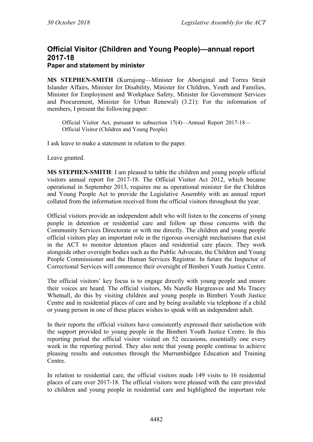# **Official Visitor (Children and Young People)—annual report 2017-18 Paper and statement by minister**

**MS STEPHEN-SMITH** (Kurrajong—Minister for Aboriginal and Torres Strait Islander Affairs, Minister for Disability, Minister for Children, Youth and Families, Minister for Employment and Workplace Safety, Minister for Government Services and Procurement, Minister for Urban Renewal) (3.21): For the information of members, I present the following paper:

Official Visitor Act, pursuant to subsection 17(4)—Annual Report 2017-18— Official Visitor (Children and Young People)

I ask leave to make a statement in relation to the paper.

Leave granted.

**MS STEPHEN-SMITH**: I am pleased to table the children and young people official visitors annual report for 2017-18. The Official Visitor Act 2012, which became operational in September 2013, requires me as operational minister for the Children and Young People Act to provide the Legislative Assembly with an annual report collated from the information received from the official visitors throughout the year.

Official visitors provide an independent adult who will listen to the concerns of young people in detention or residential care and follow up those concerns with the Community Services Directorate or with me directly. The children and young people official visitors play an important role in the rigorous oversight mechanisms that exist in the ACT to monitor detention places and residential care places. They work alongside other oversight bodies such as the Public Advocate, the Children and Young People Commissioner and the Human Services Registrar. In future the Inspector of Correctional Services will commence their oversight of Bimberi Youth Justice Centre.

The official visitors' key focus is to engage directly with young people and ensure their voices are heard. The official visitors, Ms Narelle Hargreaves and Ms Tracey Whetnall, do this by visiting children and young people in Bimberi Youth Justice Centre and in residential places of care and by being available via telephone if a child or young person in one of these places wishes to speak with an independent adult.

In their reports the official visitors have consistently expressed their satisfaction with the support provided to young people in the Bimberi Youth Justice Centre. In this reporting period the official visitor visited on 52 occasions, essentially one every week in the reporting period. They also note that young people continue to achieve pleasing results and outcomes through the Murrumbidgee Education and Training Centre.

In relation to residential care, the official visitors made 149 visits to 16 residential places of care over 2017-18. The official visitors were pleased with the care provided to children and young people in residential care and highlighted the important role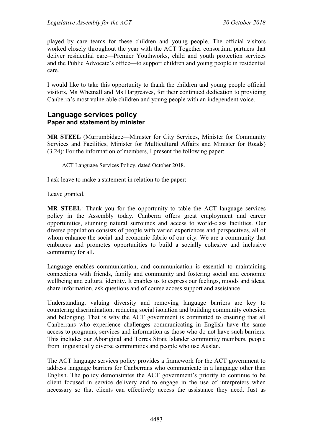played by care teams for these children and young people. The official visitors worked closely throughout the year with the ACT Together consortium partners that deliver residential care—Premier Youthworks, child and youth protection services and the Public Advocate's office—to support children and young people in residential care.

I would like to take this opportunity to thank the children and young people official visitors, Ms Whetnall and Ms Hargreaves, for their continued dedication to providing Canberra's most vulnerable children and young people with an independent voice.

#### **Language services policy Paper and statement by minister**

**MR STEEL** (Murrumbidgee—Minister for City Services, Minister for Community Services and Facilities, Minister for Multicultural Affairs and Minister for Roads) (3.24): For the information of members, I present the following paper:

ACT Language Services Policy, dated October 2018.

I ask leave to make a statement in relation to the paper:

Leave granted.

**MR STEEL**: Thank you for the opportunity to table the ACT language services policy in the Assembly today. Canberra offers great employment and career opportunities, stunning natural surrounds and access to world-class facilities. Our diverse population consists of people with varied experiences and perspectives, all of whom enhance the social and economic fabric of our city. We are a community that embraces and promotes opportunities to build a socially cohesive and inclusive community for all.

Language enables communication, and communication is essential to maintaining connections with friends, family and community and fostering social and economic wellbeing and cultural identity. It enables us to express our feelings, moods and ideas, share information, ask questions and of course access support and assistance.

Understanding, valuing diversity and removing language barriers are key to countering discrimination, reducing social isolation and building community cohesion and belonging. That is why the ACT government is committed to ensuring that all Canberrans who experience challenges communicating in English have the same access to programs, services and information as those who do not have such barriers. This includes our Aboriginal and Torres Strait Islander community members, people from linguistically diverse communities and people who use Auslan.

The ACT language services policy provides a framework for the ACT government to address language barriers for Canberrans who communicate in a language other than English. The policy demonstrates the ACT government's priority to continue to be client focused in service delivery and to engage in the use of interpreters when necessary so that clients can effectively access the assistance they need. Just as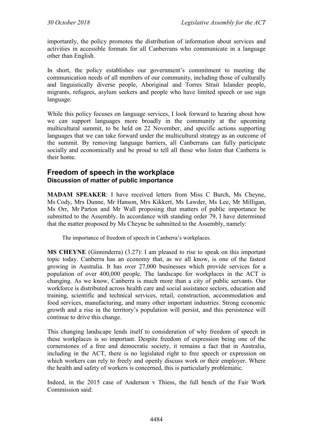importantly, the policy promotes the distribution of information about services and activities in accessible formats for all Canberrans who communicate in a language other than English.

In short, the policy establishes our government's commitment to meeting the communication needs of all members of our community, including those of culturally and linguistically diverse people, Aboriginal and Torres Strait Islander people, migrants, refugees, asylum seekers and people who have limited speech or use sign language.

While this policy focuses on language services, I look forward to hearing about how we can support languages more broadly in the community at the upcoming multicultural summit, to be held on 22 November, and specific actions supporting languages that we can take forward under the multicultural strategy as an outcome of the summit. By removing language barriers, all Canberrans can fully participate socially and economically and be proud to tell all those who listen that Canberra is their home.

# **Freedom of speech in the workplace Discussion of matter of public importance**

**MADAM SPEAKER**: I have received letters from Miss C Burch, Ms Cheyne, Ms Cody, Mrs Dunne, Mr Hanson, Mrs Kikkert, Ms Lawder, Ms Lee, Mr Milligan, Ms Orr, Mr Parton and Mr Wall proposing that matters of public importance be submitted to the Assembly. In accordance with standing order 79, I have determined that the matter proposed by Ms Cheyne be submitted to the Assembly, namely:

The importance of freedom of speech in Canberra's workplaces.

**MS CHEYNE** (Ginninderra) (3.27): I am pleased to rise to speak on this important topic today. Canberra has an economy that, as we all know, is one of the fastest growing in Australia. It has over 27,000 businesses which provide services for a population of over 400,000 people. The landscape for workplaces in the ACT is changing. As we know, Canberra is much more than a city of public servants. Our workforce is distributed across health care and social assistance sectors, education and training, scientific and technical services, retail, construction, accommodation and food services, manufacturing, and many other important industries. Strong economic growth and a rise in the territory's population will persist, and this persistence will continue to drive this change.

This changing landscape lends itself to consideration of why freedom of speech in these workplaces is so important. Despite freedom of expression being one of the cornerstones of a free and democratic society, it remains a fact that in Australia, including in the ACT, there is no legislated right to free speech or expression on which workers can rely to freely and openly discuss work or their employer. Where the health and safety of workers is concerned, this is particularly problematic.

Indeed, in the 2015 case of Anderson v Thiess, the full bench of the Fair Work Commission said: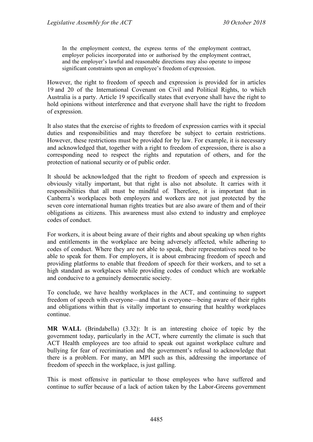In the employment context, the express terms of the employment contract, employer policies incorporated into or authorised by the employment contract, and the employer's lawful and reasonable directions may also operate to impose significant constraints upon an employee's freedom of expression.

However, the right to freedom of speech and expression is provided for in articles 19 and 20 of the International Covenant on Civil and Political Rights, to which Australia is a party. Article 19 specifically states that everyone shall have the right to hold opinions without interference and that everyone shall have the right to freedom of expression.

It also states that the exercise of rights to freedom of expression carries with it special duties and responsibilities and may therefore be subject to certain restrictions. However, these restrictions must be provided for by law. For example, it is necessary and acknowledged that, together with a right to freedom of expression, there is also a corresponding need to respect the rights and reputation of others, and for the protection of national security or of public order.

It should be acknowledged that the right to freedom of speech and expression is obviously vitally important, but that right is also not absolute. It carries with it responsibilities that all must be mindful of. Therefore, it is important that in Canberra's workplaces both employers and workers are not just protected by the seven core international human rights treaties but are also aware of them and of their obligations as citizens. This awareness must also extend to industry and employee codes of conduct.

For workers, it is about being aware of their rights and about speaking up when rights and entitlements in the workplace are being adversely affected, while adhering to codes of conduct. Where they are not able to speak, their representatives need to be able to speak for them. For employers, it is about embracing freedom of speech and providing platforms to enable that freedom of speech for their workers, and to set a high standard as workplaces while providing codes of conduct which are workable and conducive to a genuinely democratic society.

To conclude, we have healthy workplaces in the ACT, and continuing to support freedom of speech with everyone—and that is everyone—being aware of their rights and obligations within that is vitally important to ensuring that healthy workplaces continue.

**MR WALL** (Brindabella) (3.32): It is an interesting choice of topic by the government today, particularly in the ACT, where currently the climate is such that ACT Health employees are too afraid to speak out against workplace culture and bullying for fear of recrimination and the government's refusal to acknowledge that there is a problem. For many, an MPI such as this, addressing the importance of freedom of speech in the workplace, is just galling.

This is most offensive in particular to those employees who have suffered and continue to suffer because of a lack of action taken by the Labor-Greens government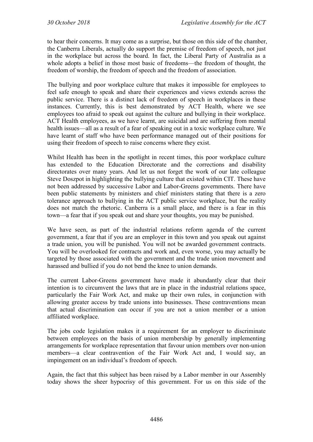to hear their concerns. It may come as a surprise, but those on this side of the chamber, the Canberra Liberals, actually do support the premise of freedom of speech, not just in the workplace but across the board. In fact, the Liberal Party of Australia as a whole adopts a belief in those most basic of freedoms—the freedom of thought, the freedom of worship, the freedom of speech and the freedom of association.

The bullying and poor workplace culture that makes it impossible for employees to feel safe enough to speak and share their experiences and views extends across the public service. There is a distinct lack of freedom of speech in workplaces in these instances. Currently, this is best demonstrated by ACT Health, where we see employees too afraid to speak out against the culture and bullying in their workplace. ACT Health employees, as we have learnt, are suicidal and are suffering from mental health issues—all as a result of a fear of speaking out in a toxic workplace culture. We have learnt of staff who have been performance managed out of their positions for using their freedom of speech to raise concerns where they exist.

Whilst Health has been in the spotlight in recent times, this poor workplace culture has extended to the Education Directorate and the corrections and disability directorates over many years. And let us not forget the work of our late colleague Steve Doszpot in highlighting the bullying culture that existed within CIT. These have not been addressed by successive Labor and Labor-Greens governments. There have been public statements by ministers and chief ministers stating that there is a zero tolerance approach to bullying in the ACT public service workplace, but the reality does not match the rhetoric. Canberra is a small place, and there is a fear in this town—a fear that if you speak out and share your thoughts, you may be punished.

We have seen, as part of the industrial relations reform agenda of the current government, a fear that if you are an employer in this town and you speak out against a trade union, you will be punished. You will not be awarded government contracts. You will be overlooked for contracts and work and, even worse, you may actually be targeted by those associated with the government and the trade union movement and harassed and bullied if you do not bend the knee to union demands.

The current Labor-Greens government have made it abundantly clear that their intention is to circumvent the laws that are in place in the industrial relations space, particularly the Fair Work Act, and make up their own rules, in conjunction with allowing greater access by trade unions into businesses. These contraventions mean that actual discrimination can occur if you are not a union member or a union affiliated workplace.

The jobs code legislation makes it a requirement for an employer to discriminate between employees on the basis of union membership by generally implementing arrangements for workplace representation that favour union members over non-union members—a clear contravention of the Fair Work Act and, I would say, an impingement on an individual's freedom of speech.

Again, the fact that this subject has been raised by a Labor member in our Assembly today shows the sheer hypocrisy of this government. For us on this side of the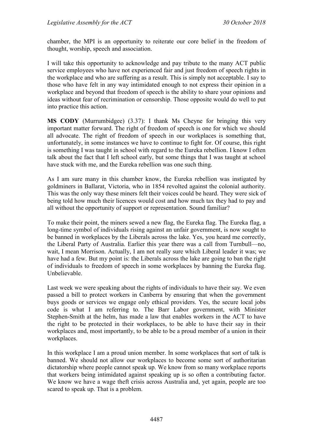chamber, the MPI is an opportunity to reiterate our core belief in the freedom of thought, worship, speech and association.

I will take this opportunity to acknowledge and pay tribute to the many ACT public service employees who have not experienced fair and just freedom of speech rights in the workplace and who are suffering as a result. This is simply not acceptable. I say to those who have felt in any way intimidated enough to not express their opinion in a workplace and beyond that freedom of speech is the ability to share your opinions and ideas without fear of recrimination or censorship. Those opposite would do well to put into practice this action.

**MS CODY** (Murrumbidgee) (3.37): I thank Ms Cheyne for bringing this very important matter forward. The right of freedom of speech is one for which we should all advocate. The right of freedom of speech in our workplaces is something that, unfortunately, in some instances we have to continue to fight for. Of course, this right is something I was taught in school with regard to the Eureka rebellion. I know I often talk about the fact that I left school early, but some things that I was taught at school have stuck with me, and the Eureka rebellion was one such thing.

As I am sure many in this chamber know, the Eureka rebellion was instigated by goldminers in Ballarat, Victoria, who in 1854 revolted against the colonial authority. This was the only way these miners felt their voices could be heard. They were sick of being told how much their licences would cost and how much tax they had to pay and all without the opportunity of support or representation. Sound familiar?

To make their point, the miners sewed a new flag, the Eureka flag. The Eureka flag, a long-time symbol of individuals rising against an unfair government, is now sought to be banned in workplaces by the Liberals across the lake. Yes, you heard me correctly, the Liberal Party of Australia. Earlier this year there was a call from Turnbull—no, wait, I mean Morrison. Actually, I am not really sure which Liberal leader it was; we have had a few. But my point is: the Liberals across the lake are going to ban the right of individuals to freedom of speech in some workplaces by banning the Eureka flag. Unbelievable.

Last week we were speaking about the rights of individuals to have their say. We even passed a bill to protect workers in Canberra by ensuring that when the government buys goods or services we engage only ethical providers. Yes, the secure local jobs code is what I am referring to. The Barr Labor government, with Minister Stephen-Smith at the helm, has made a law that enables workers in the ACT to have the right to be protected in their workplaces, to be able to have their say in their workplaces and, most importantly, to be able to be a proud member of a union in their workplaces.

In this workplace I am a proud union member. In some workplaces that sort of talk is banned. We should not allow our workplaces to become some sort of authoritarian dictatorship where people cannot speak up. We know from so many workplace reports that workers being intimidated against speaking up is so often a contributing factor. We know we have a wage theft crisis across Australia and, yet again, people are too scared to speak up. That is a problem.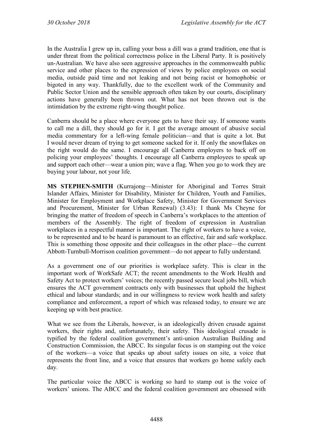In the Australia I grew up in, calling your boss a dill was a grand tradition, one that is under threat from the political correctness police in the Liberal Party. It is positively un-Australian. We have also seen aggressive approaches in the commonwealth public service and other places to the expression of views by police employees on social media, outside paid time and not leaking and not being racist or homophobic or bigoted in any way. Thankfully, due to the excellent work of the Community and Public Sector Union and the sensible approach often taken by our courts, disciplinary actions have generally been thrown out. What has not been thrown out is the intimidation by the extreme right-wing thought police.

Canberra should be a place where everyone gets to have their say. If someone wants to call me a dill, they should go for it. I get the average amount of abusive social media commentary for a left-wing female politician—and that is quite a lot. But I would never dream of trying to get someone sacked for it. If only the snowflakes on the right would do the same. I encourage all Canberra employers to back off on policing your employees' thoughts. I encourage all Canberra employees to speak up and support each other—wear a union pin; wave a flag. When you go to work they are buying your labour, not your life.

**MS STEPHEN-SMITH** (Kurrajong—Minister for Aboriginal and Torres Strait Islander Affairs, Minister for Disability, Minister for Children, Youth and Families, Minister for Employment and Workplace Safety, Minister for Government Services and Procurement, Minister for Urban Renewal) (3.43): I thank Ms Cheyne for bringing the matter of freedom of speech in Canberra's workplaces to the attention of members of the Assembly. The right of freedom of expression in Australian workplaces in a respectful manner is important. The right of workers to have a voice, to be represented and to be heard is paramount to an effective, fair and safe workplace. This is something those opposite and their colleagues in the other place—the current Abbott-Turnbull-Morrison coalition government—do not appear to fully understand.

As a government one of our priorities is workplace safety. This is clear in the important work of WorkSafe ACT; the recent amendments to the Work Health and Safety Act to protect workers' voices; the recently passed secure local jobs bill, which ensures the ACT government contracts only with businesses that uphold the highest ethical and labour standards; and in our willingness to review work health and safety compliance and enforcement, a report of which was released today, to ensure we are keeping up with best practice.

What we see from the Liberals, however, is an ideologically driven crusade against workers, their rights and, unfortunately, their safety. This ideological crusade is typified by the federal coalition government's anti-union Australian Building and Construction Commission, the ABCC. Its singular focus is on stamping out the voice of the workers—a voice that speaks up about safety issues on site, a voice that represents the front line, and a voice that ensures that workers go home safely each day.

The particular voice the ABCC is working so hard to stamp out is the voice of workers' unions. The ABCC and the federal coalition government are obsessed with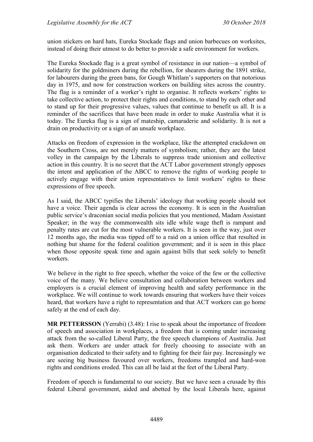union stickers on hard hats, Eureka Stockade flags and union barbecues on worksites, instead of doing their utmost to do better to provide a safe environment for workers.

The Eureka Stockade flag is a great symbol of resistance in our nation—a symbol of solidarity for the goldminers during the rebellion, for shearers during the 1891 strike, for labourers during the green bans, for Gough Whitlam's supporters on that notorious day in 1975, and now for construction workers on building sites across the country. The flag is a reminder of a worker's right to organise. It reflects workers' rights to take collective action, to protect their rights and conditions, to stand by each other and to stand up for their progressive values, values that continue to benefit us all. It is a reminder of the sacrifices that have been made in order to make Australia what it is today. The Eureka flag is a sign of mateship, camaraderie and solidarity. It is not a drain on productivity or a sign of an unsafe workplace.

Attacks on freedom of expression in the workplace, like the attempted crackdown on the Southern Cross, are not merely matters of symbolism; rather, they are the latest volley in the campaign by the Liberals to suppress trade unionism and collective action in this country. It is no secret that the ACT Labor government strongly opposes the intent and application of the ABCC to remove the rights of working people to actively engage with their union representatives to limit workers' rights to these expressions of free speech.

As I said, the ABCC typifies the Liberals' ideology that working people should not have a voice. Their agenda is clear across the economy. It is seen in the Australian public service's draconian social media policies that you mentioned, Madam Assistant Speaker; in the way the commonwealth sits idle while wage theft is rampant and penalty rates are cut for the most vulnerable workers. It is seen in the way, just over 12 months ago, the media was tipped off to a raid on a union office that resulted in nothing but shame for the federal coalition government; and it is seen in this place when those opposite speak time and again against bills that seek solely to benefit workers.

We believe in the right to free speech, whether the voice of the few or the collective voice of the many. We believe consultation and collaboration between workers and employers is a crucial element of improving health and safety performance in the workplace. We will continue to work towards ensuring that workers have their voices heard, that workers have a right to representation and that ACT workers can go home safely at the end of each day.

**MR PETTERSSON** (Yerrabi) (3.48): I rise to speak about the importance of freedom of speech and association in workplaces, a freedom that is coming under increasing attack from the so-called Liberal Party, the free speech champions of Australia. Just ask them. Workers are under attack for freely choosing to associate with an organisation dedicated to their safety and to fighting for their fair pay. Increasingly we are seeing big business favoured over workers, freedoms trampled and hard-won rights and conditions eroded. This can all be laid at the feet of the Liberal Party.

Freedom of speech is fundamental to our society. But we have seen a crusade by this federal Liberal government, aided and abetted by the local Liberals here, against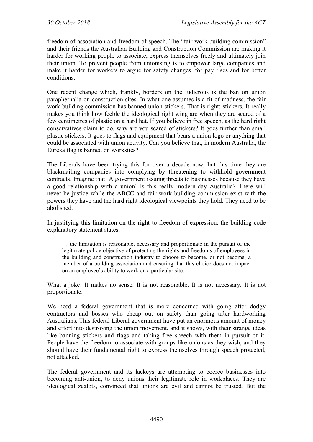freedom of association and freedom of speech. The "fair work building commission" and their friends the Australian Building and Construction Commission are making it harder for working people to associate, express themselves freely and ultimately join their union. To prevent people from unionising is to empower large companies and make it harder for workers to argue for safety changes, for pay rises and for better conditions.

One recent change which, frankly, borders on the ludicrous is the ban on union paraphernalia on construction sites. In what one assumes is a fit of madness, the fair work building commission has banned union stickers. That is right: stickers. It really makes you think how feeble the ideological right wing are when they are scared of a few centimetres of plastic on a hard hat. If you believe in free speech, as the hard right conservatives claim to do, why are you scared of stickers? It goes further than small plastic stickers. It goes to flags and equipment that bears a union logo or anything that could be associated with union activity. Can you believe that, in modern Australia, the Eureka flag is banned on worksites?

The Liberals have been trying this for over a decade now, but this time they are blackmailing companies into complying by threatening to withhold government contracts. Imagine that! A government issuing threats to businesses because they have a good relationship with a union! Is this really modern-day Australia? There will never be justice while the ABCC and fair work building commission exist with the powers they have and the hard right ideological viewpoints they hold. They need to be abolished.

In justifying this limitation on the right to freedom of expression, the building code explanatory statement states:

… the limitation is reasonable, necessary and proportionate in the pursuit of the legitimate policy objective of protecting the rights and freedoms of employees in the building and construction industry to choose to become, or not become, a member of a building association and ensuring that this choice does not impact on an employee's ability to work on a particular site.

What a joke! It makes no sense. It is not reasonable. It is not necessary. It is not proportionate.

We need a federal government that is more concerned with going after dodgy contractors and bosses who cheap out on safety than going after hardworking Australians. This federal Liberal government have put an enormous amount of money and effort into destroying the union movement, and it shows, with their strange ideas like banning stickers and flags and taking free speech with them in pursuit of it. People have the freedom to associate with groups like unions as they wish, and they should have their fundamental right to express themselves through speech protected, not attacked.

The federal government and its lackeys are attempting to coerce businesses into becoming anti-union, to deny unions their legitimate role in workplaces. They are ideological zealots, convinced that unions are evil and cannot be trusted. But the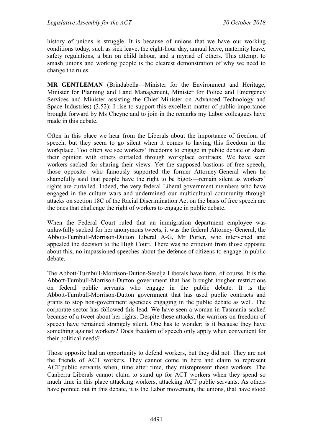history of unions is struggle. It is because of unions that we have our working conditions today, such as sick leave, the eight-hour day, annual leave, maternity leave, safety regulations, a ban on child labour, and a myriad of others. This attempt to smash unions and working people is the clearest demonstration of why we need to change the rules.

**MR GENTLEMAN** (Brindabella—Minister for the Environment and Heritage, Minister for Planning and Land Management, Minister for Police and Emergency Services and Minister assisting the Chief Minister on Advanced Technology and Space Industries) (3.52): I rise to support this excellent matter of public importance brought forward by Ms Cheyne and to join in the remarks my Labor colleagues have made in this debate.

Often in this place we hear from the Liberals about the importance of freedom of speech, but they seem to go silent when it comes to having this freedom in the workplace. Too often we see workers' freedoms to engage in public debate or share their opinion with others curtailed through workplace contracts. We have seen workers sacked for sharing their views. Yet the supposed bastions of free speech, those opposite—who famously supported the former Attorney-General when he shamefully said that people have the right to be bigots—remain silent as workers' rights are curtailed. Indeed, the very federal Liberal government members who have engaged in the culture wars and undermined our multicultural community through attacks on section 18C of the Racial Discrimination Act on the basis of free speech are the ones that challenge the right of workers to engage in public debate.

When the Federal Court ruled that an immigration department employee was unlawfully sacked for her anonymous tweets, it was the federal Attorney-General, the Abbott-Turnbull-Morrison-Dutton Liberal A-G, Mr Porter, who intervened and appealed the decision to the High Court. There was no criticism from those opposite about this, no impassioned speeches about the defence of citizens to engage in public debate.

The Abbott-Turnbull-Morrison-Dutton-Seselja Liberals have form, of course. It is the Abbott-Turnbull-Morrison-Dutton government that has brought tougher restrictions on federal public servants who engage in the public debate. It is the Abbott-Turnbull-Morrison-Dutton government that has used public contracts and grants to stop non-government agencies engaging in the public debate as well. The corporate sector has followed this lead. We have seen a woman in Tasmania sacked because of a tweet about her rights. Despite these attacks, the warriors on freedom of speech have remained strangely silent. One has to wonder: is it because they have something against workers? Does freedom of speech only apply when convenient for their political needs?

Those opposite had an opportunity to defend workers, but they did not. They are not the friends of ACT workers. They cannot come in here and claim to represent ACT public servants when, time after time, they misrepresent those workers. The Canberra Liberals cannot claim to stand up for ACT workers when they spend so much time in this place attacking workers, attacking ACT public servants. As others have pointed out in this debate, it is the Labor movement, the unions, that have stood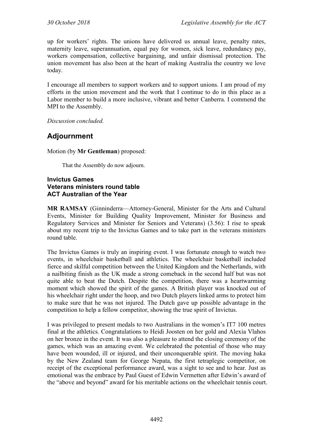up for workers' rights. The unions have delivered us annual leave, penalty rates, maternity leave, superannuation, equal pay for women, sick leave, redundancy pay, workers compensation, collective bargaining, and unfair dismissal protection. The union movement has also been at the heart of making Australia the country we love today.

I encourage all members to support workers and to support unions. I am proud of my efforts in the union movement and the work that I continue to do in this place as a Labor member to build a more inclusive, vibrant and better Canberra. I commend the MPI to the Assembly.

*Discussion concluded.*

# **Adjournment**

Motion (by **Mr Gentleman**) proposed:

That the Assembly do now adjourn.

#### **Invictus Games Veterans ministers round table ACT Australian of the Year**

**MR RAMSAY** (Ginninderra—Attorney-General, Minister for the Arts and Cultural Events, Minister for Building Quality Improvement, Minister for Business and Regulatory Services and Minister for Seniors and Veterans) (3.56): I rise to speak about my recent trip to the Invictus Games and to take part in the veterans ministers round table.

The Invictus Games is truly an inspiring event. I was fortunate enough to watch two events, in wheelchair basketball and athletics. The wheelchair basketball included fierce and skilful competition between the United Kingdom and the Netherlands, with a nailbiting finish as the UK made a strong comeback in the second half but was not quite able to beat the Dutch. Despite the competition, there was a heartwarming moment which showed the spirit of the games. A British player was knocked out of his wheelchair right under the hoop, and two Dutch players linked arms to protect him to make sure that he was not injured. The Dutch gave up possible advantage in the competition to help a fellow competitor, showing the true spirit of Invictus.

I was privileged to present medals to two Australians in the women's IT7 100 metres final at the athletics. Congratulations to Heidi Joosten on her gold and Alexia Vlahos on her bronze in the event. It was also a pleasure to attend the closing ceremony of the games, which was an amazing event. We celebrated the potential of those who may have been wounded, ill or injured, and their unconquerable spirit. The moving haka by the New Zealand team for George Nepata, the first tetraplegic competitor, on receipt of the exceptional performance award, was a sight to see and to hear. Just as emotional was the embrace by Paul Guest of Edwin Vermetten after Edwin's award of the "above and beyond" award for his meritable actions on the wheelchair tennis court.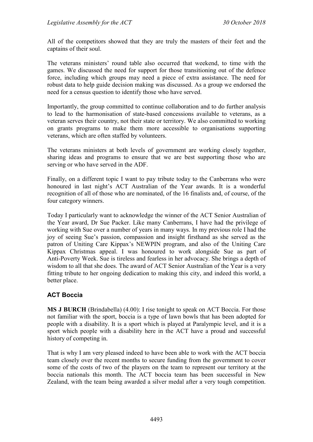All of the competitors showed that they are truly the masters of their feet and the captains of their soul.

The veterans ministers' round table also occurred that weekend, to time with the games. We discussed the need for support for those transitioning out of the defence force, including which groups may need a piece of extra assistance. The need for robust data to help guide decision making was discussed. As a group we endorsed the need for a census question to identify those who have served.

Importantly, the group committed to continue collaboration and to do further analysis to lead to the harmonisation of state-based concessions available to veterans, as a veteran serves their country, not their state or territory. We also committed to working on grants programs to make them more accessible to organisations supporting veterans, which are often staffed by volunteers.

The veterans ministers at both levels of government are working closely together, sharing ideas and programs to ensure that we are best supporting those who are serving or who have served in the ADF.

Finally, on a different topic I want to pay tribute today to the Canberrans who were honoured in last night's ACT Australian of the Year awards. It is a wonderful recognition of all of those who are nominated, of the 16 finalists and, of course, of the four category winners.

Today I particularly want to acknowledge the winner of the ACT Senior Australian of the Year award, Dr Sue Packer. Like many Canberrans, I have had the privilege of working with Sue over a number of years in many ways. In my previous role I had the joy of seeing Sue's passion, compassion and insight firsthand as she served as the patron of Uniting Care Kippax's NEWPIN program, and also of the Uniting Care Kippax Christmas appeal. I was honoured to work alongside Sue as part of Anti-Poverty Week. Sue is tireless and fearless in her advocacy. She brings a depth of wisdom to all that she does. The award of ACT Senior Australian of the Year is a very fitting tribute to her ongoing dedication to making this city, and indeed this world, a better place.

## **ACT Boccia**

**MS J BURCH** (Brindabella) (4.00): I rise tonight to speak on ACT Boccia. For those not familiar with the sport, boccia is a type of lawn bowls that has been adopted for people with a disability. It is a sport which is played at Paralympic level, and it is a sport which people with a disability here in the ACT have a proud and successful history of competing in.

That is why I am very pleased indeed to have been able to work with the ACT boccia team closely over the recent months to secure funding from the government to cover some of the costs of two of the players on the team to represent our territory at the boccia nationals this month. The ACT boccia team has been successful in New Zealand, with the team being awarded a silver medal after a very tough competition.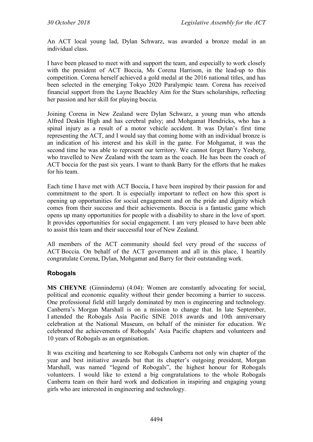An ACT local young lad, Dylan Schwarz, was awarded a bronze medal in an individual class.

I have been pleased to meet with and support the team, and especially to work closely with the president of ACT Boccia, Ms Corena Harrison, in the lead-up to this competition. Corena herself achieved a gold medal at the 2016 national titles, and has been selected in the emerging Tokyo 2020 Paralympic team. Corena has received financial support from the Layne Beachley Aim for the Stars scholarships, reflecting her passion and her skill for playing boccia.

Joining Corena in New Zealand were Dylan Schwarz, a young man who attends Alfred Deakin High and has cerebral palsy; and Mohgamat Hendricks, who has a spinal injury as a result of a motor vehicle accident. It was Dylan's first time representing the ACT, and I would say that coming home with an individual bronze is an indication of his interest and his skill in the game. For Mohgamat, it was the second time he was able to represent our territory. We cannot forget Barry Yesberg, who travelled to New Zealand with the team as the coach. He has been the coach of ACT boccia for the past six years. I want to thank Barry for the efforts that he makes for his team.

Each time I have met with ACT Boccia, I have been inspired by their passion for and commitment to the sport. It is especially important to reflect on how this sport is opening up opportunities for social engagement and on the pride and dignity which comes from their success and their achievements. Boccia is a fantastic game which opens up many opportunities for people with a disability to share in the love of sport. It provides opportunities for social engagement. I am very pleased to have been able to assist this team and their successful tour of New Zealand.

All members of the ACT community should feel very proud of the success of ACT Boccia. On behalf of the ACT government and all in this place, I heartily congratulate Corena, Dylan, Mohgamat and Barry for their outstanding work.

## **Robogals**

**MS CHEYNE** (Ginninderra) (4.04): Women are constantly advocating for social, political and economic equality without their gender becoming a barrier to success. One professional field still largely dominated by men is engineering and technology. Canberra's Morgan Marshall is on a mission to change that. In late September, I attended the Robogals Asia Pacific SINE 2018 awards and 10th anniversary celebration at the National Museum, on behalf of the minister for education. We celebrated the achievements of Robogals' Asia Pacific chapters and volunteers and 10 years of Robogals as an organisation.

It was exciting and heartening to see Robogals Canberra not only win chapter of the year and best initiative awards but that its chapter's outgoing president, Morgan Marshall, was named "legend of Robogals", the highest honour for Robogals volunteers. I would like to extend a big congratulations to the whole Robogals Canberra team on their hard work and dedication in inspiring and engaging young girls who are interested in engineering and technology.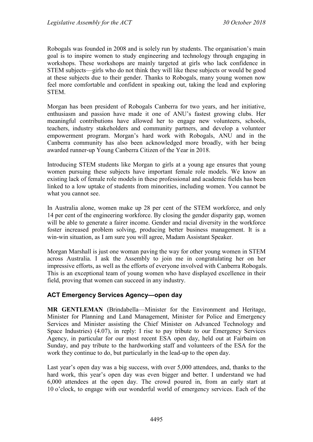Robogals was founded in 2008 and is solely run by students. The organisation's main goal is to inspire women to study engineering and technology through engaging in workshops. These workshops are mainly targeted at girls who lack confidence in STEM subjects—girls who do not think they will like these subjects or would be good at these subjects due to their gender. Thanks to Robogals, many young women now feel more comfortable and confident in speaking out, taking the lead and exploring **STEM** 

Morgan has been president of Robogals Canberra for two years, and her initiative, enthusiasm and passion have made it one of ANU's fastest growing clubs. Her meaningful contributions have allowed her to engage new volunteers, schools, teachers, industry stakeholders and community partners, and develop a volunteer empowerment program. Morgan's hard work with Robogals, ANU and in the Canberra community has also been acknowledged more broadly, with her being awarded runner-up Young Canberra Citizen of the Year in 2018.

Introducing STEM students like Morgan to girls at a young age ensures that young women pursuing these subjects have important female role models. We know an existing lack of female role models in these professional and academic fields has been linked to a low uptake of students from minorities, including women. You cannot be what you cannot see.

In Australia alone, women make up 28 per cent of the STEM workforce, and only 14 per cent of the engineering workforce. By closing the gender disparity gap, women will be able to generate a fairer income. Gender and racial diversity in the workforce foster increased problem solving, producing better business management. It is a win-win situation, as I am sure you will agree, Madam Assistant Speaker.

Morgan Marshall is just one woman paving the way for other young women in STEM across Australia. I ask the Assembly to join me in congratulating her on her impressive efforts, as well as the efforts of everyone involved with Canberra Robogals. This is an exceptional team of young women who have displayed excellence in their field, proving that women can succeed in any industry.

## **ACT Emergency Services Agency—open day**

**MR GENTLEMAN** (Brindabella—Minister for the Environment and Heritage, Minister for Planning and Land Management, Minister for Police and Emergency Services and Minister assisting the Chief Minister on Advanced Technology and Space Industries) (4.07), in reply: I rise to pay tribute to our Emergency Services Agency, in particular for our most recent ESA open day, held out at Fairbairn on Sunday, and pay tribute to the hardworking staff and volunteers of the ESA for the work they continue to do, but particularly in the lead-up to the open day.

Last year's open day was a big success, with over 5,000 attendees, and, thanks to the hard work, this year's open day was even bigger and better. I understand we had 6,000 attendees at the open day. The crowd poured in, from an early start at 10 o'clock, to engage with our wonderful world of emergency services. Each of the